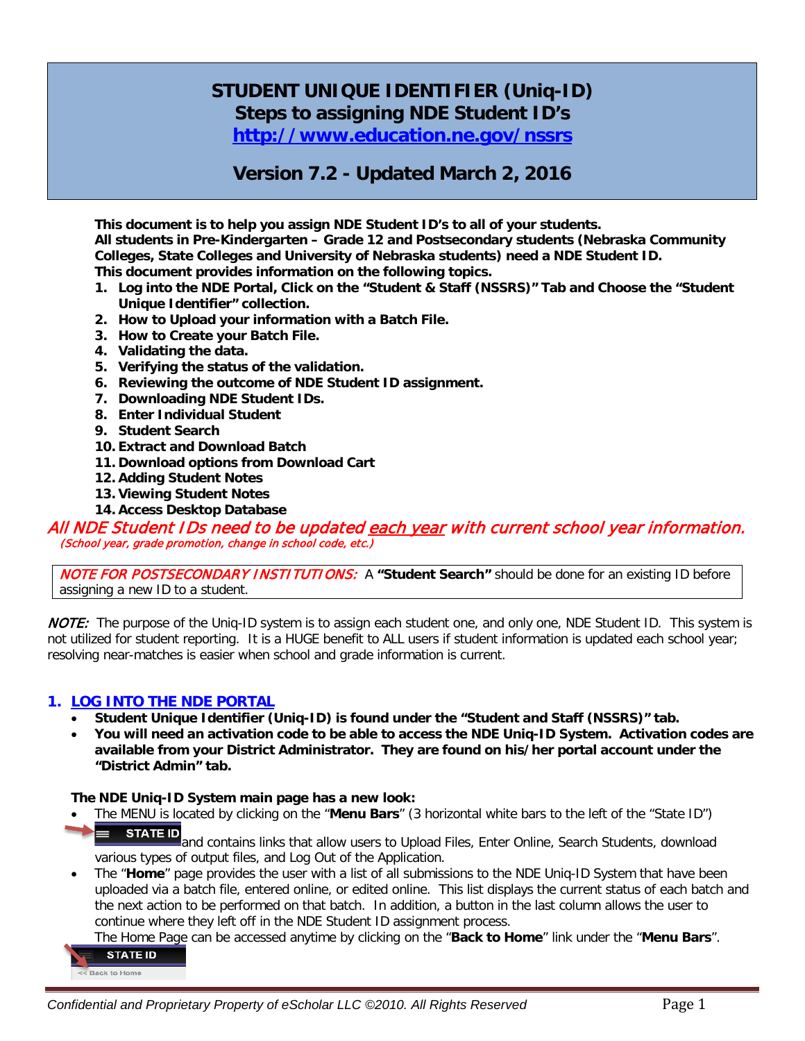# **STUDENT UNIQUE IDENTIFIER (Uniq-ID) Steps to assigning NDE Student ID's**

**<http://www.education.ne.gov/nssrs>**

# **Version 7.2 - Updated March 2, 2016**

**This document is to help you assign NDE Student ID's to all of your students. All students in Pre-Kindergarten – Grade 12 and Postsecondary students (Nebraska Community Colleges, State Colleges and University of Nebraska students) need a NDE Student ID. This document provides information on the following topics.**

- **1. Log into the NDE Portal, Click on the "Student & Staff (NSSRS)" Tab and Choose the "Student Unique Identifier" collection.**
- **2. How to Upload your information with a Batch File.**
- **3. How to Create your Batch File.**
- **4. Validating the data.**
- **5. Verifying the status of the validation.**
- **6. Reviewing the outcome of NDE Student ID assignment.**
- **7. Downloading NDE Student IDs.**
- **8. Enter Individual Student**
- **9. Student Search**
- **10. Extract and Download Batch**
- **11. Download options from Download Cart**
- **12. Adding Student Notes**
- **13. Viewing Student Notes**
- **14. Access Desktop Database**

All NDE Student IDs need to be updated <u>each year</u> with current school year information.<br>(School year, grade promotion, change in school code, etc.)

NOTE FOR POSTSECONDARY INSTITUTIONS:A **"Student Search"** should be done for an existing ID before assigning a new ID to a student.

NOTE: The purpose of the Uniq-ID system is to assign each student one, and only one, NDE Student ID. This system is not utilized for student reporting. It is a HUGE benefit to ALL users if student information is updated each school year; resolving near-matches is easier when school and grade information is current.

## **1. LOG INTO THE NDE PORTAL**

- **Student Unique Identifier (Uniq-ID) is found under the "Student and Staff (NSSRS)" tab.**
- **You will need an activation code to be able to access the NDE Uniq-ID System. Activation codes are available from your District Administrator. They are found on his/her portal account under the "District Admin" tab.**

#### **The NDE Uniq-ID System main page has a new look:**

• The MENU is located by clicking on the "**Menu Bars**" (3 horizontal white bars to the left of the "State ID") ▬

**STATE ID** and contains links that allow users to Upload Files, Enter Online, Search Students, download various types of output files, and Log Out of the Application.

• The "**Home**" page provides the user with a list of all submissions to the NDE Uniq-ID System that have been uploaded via a batch file, entered online, or edited online. This list displays the current status of each batch and the next action to be performed on that batch. In addition, a button in the last column allows the user to continue where they left off in the NDE Student ID assignment process.

The Home Page can be accessed anytime by clicking on the "**Back to Home**" link under the "**Menu Bars**".

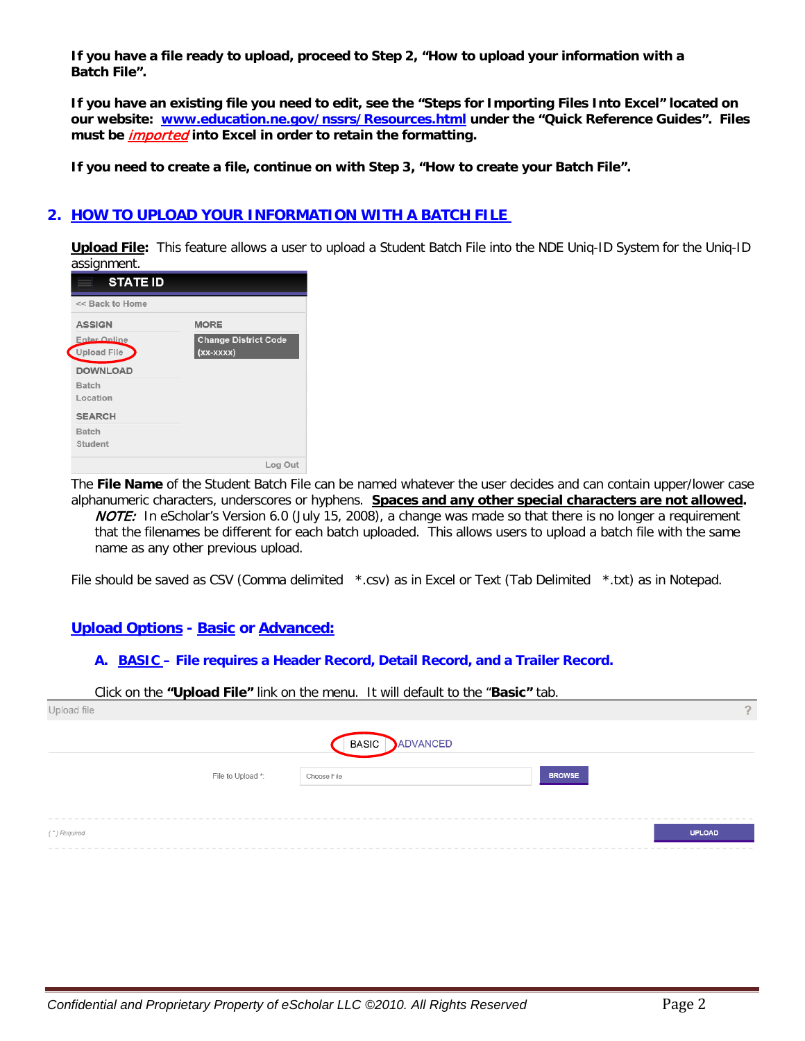**If you have a file ready to upload, proceed to Step 2, "How to upload your information with a Batch File".**

**If you have an existing file you need to edit, see the "Steps for Importing Files Into Excel" located on our website: [www.education.ne.gov/nssrs/Resources.html](http://www.education.ne.gov/nssrs/Resources.html) under the "Quick Reference Guides". Files must be** imported **into Excel in order to retain the formatting.**

**If you need to create a file, continue on with Step 3, "How to create your Batch File".**

# **2. HOW TO UPLOAD YOUR INFORMATION WITH A BATCH FILE**

**Upload File:** This feature allows a user to upload a Student Batch File into the NDE Uniq-ID System for the Uniq-ID assignment.

| <b>MORE</b><br><b>Change District Code</b> |
|--------------------------------------------|
|                                            |
| $(xx-xxxx)$                                |
|                                            |
| Log Out                                    |
|                                            |

The **File Name** of the Student Batch File can be named whatever the user decides and can contain upper/lower case alphanumeric characters, underscores or hyphens. **Spaces and any other special characters are not allowed.** NOTE: In eScholar's Version 6.0 (July 15, 2008), a change was made so that there is no longer a requirement that the filenames be different for each batch uploaded. This allows users to upload a batch file with the same name as any other previous upload.

File should be saved as CSV (Comma delimited \*.csv) as in Excel or Text (Tab Delimited \*.txt) as in Notepad.

# **Upload Options - Basic or Advanced:**

#### **A. BASIC – File requires a Header Record, Detail Record, and a Trailer Record.**

Click on the **"Upload File"** link on the menu. It will default to the "**Basic"** tab.

| Upload file       |                          |               |
|-------------------|--------------------------|---------------|
|                   | ADVANCED<br><b>BASIC</b> |               |
| File to Upload *: | Choose File              | <b>BROWSE</b> |
| (*) Required      |                          | <b>UPLOAD</b> |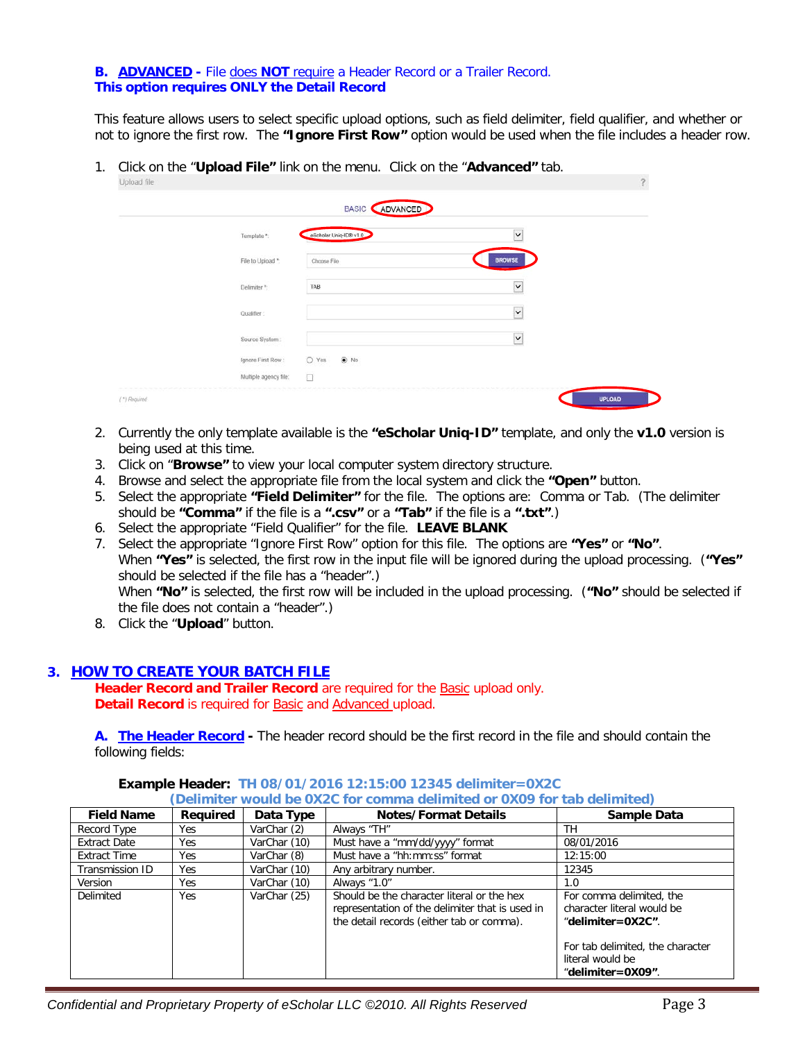#### **B. ADVANCED -** File does **NOT** require a Header Record or a Trailer Record. **This option requires ONLY the Detail Record**

This feature allows users to select specific upload options, such as field delimiter, field qualifier, and whether or not to ignore the first row. The **"Ignore First Row"** option would be used when the file includes a header row.

1. Click on the "**Upload File"** link on the menu. Click on the "**Advanced"** tab.

| ирюаа те     |                                  |                        |                          |               |
|--------------|----------------------------------|------------------------|--------------------------|---------------|
|              |                                  | BASIC ADVANCED         |                          |               |
|              | Template *:                      | eScholar Uniq-ID® v1.0 | $\check{ }$              |               |
|              | File to Upload *:                | Choose File            | <b>BROWSE</b>            |               |
|              | <b>SEASING</b> TEL<br>Delimiter* | TAB                    | $\check{ }$              |               |
|              | Qualifier:                       |                        | $\check{\phantom{a}}$    |               |
|              | Source System:                   |                        | $\overline{\phantom{0}}$ |               |
|              | Ignore First Row:                | $O$ Yes<br>$\odot$ No  |                          |               |
|              | Multiple agency file:            | $\Box$                 |                          |               |
| (*) Required |                                  |                        |                          | <b>UPLOAD</b> |

- 2. Currently the only template available is the **"eScholar Uniq-ID"** template, and only the **v1.0** version is being used at this time.
- 3. Click on "**Browse"** to view your local computer system directory structure.
- 4. Browse and select the appropriate file from the local system and click the **"Open"** button.
- 5. Select the appropriate **"Field Delimiter"** for the file. The options are: Comma or Tab. (The delimiter should be **"Comma"** if the file is a **".csv"** or a **"Tab"** if the file is a **".txt"**.)
- 6. Select the appropriate "Field Qualifier" for the file. **LEAVE BLANK**
- 7. Select the appropriate "Ignore First Row" option for this file. The options are **"Yes"** or **"No"**. When **"Yes"** is selected, the first row in the input file will be ignored during the upload processing. (**"Yes"**  should be selected if the file has a "header".) When **"No"** is selected, the first row will be included in the upload processing. (**"No"** should be selected if the file does not contain a "header".)
- 8. Click the "**Upload**" button.

## **3. HOW TO CREATE YOUR BATCH FILE**

**Header Record and Trailer Record** are required for the Basic upload only. **Detail Record** is required for Basic and Advanced upload.

**A. The Header Record -** The header record should be the first record in the file and should contain the following fields:

| <b>Field Name</b>   | <b>Reauired</b> | Data Type    | <b>Notes/Format Details</b>                                                                                                                | Sample Data                                                                                                                                              |
|---------------------|-----------------|--------------|--------------------------------------------------------------------------------------------------------------------------------------------|----------------------------------------------------------------------------------------------------------------------------------------------------------|
| Record Type         | Yes             | VarChar (2)  | Always "TH"                                                                                                                                | <b>TH</b>                                                                                                                                                |
| <b>Extract Date</b> | Yes             | VarChar (10) | Must have a "mm/dd/yyyy" format                                                                                                            | 08/01/2016                                                                                                                                               |
| <b>Extract Time</b> | Yes.            | VarChar (8)  | Must have a "hh:mm:ss" format                                                                                                              | 12:15:00                                                                                                                                                 |
| Transmission ID     | <b>Yes</b>      | VarChar (10) | Any arbitrary number.                                                                                                                      | 12345                                                                                                                                                    |
| Version             | Yes             | VarChar (10) | Always "1.0"                                                                                                                               | 1.0                                                                                                                                                      |
| Delimited           | Yes             | VarChar (25) | Should be the character literal or the hex<br>representation of the delimiter that is used in<br>the detail records (either tab or comma). | For comma delimited, the<br>character literal would be<br>"delimiter=0X2C".<br>For tab delimited, the character<br>literal would be<br>"delimiter=0X09". |

#### **Example Header: TH 08/01/2016 12:15:00 12345 delimiter=0X2C (Delimiter would be 0X2C for comma delimited or 0X09 for tab delimited)**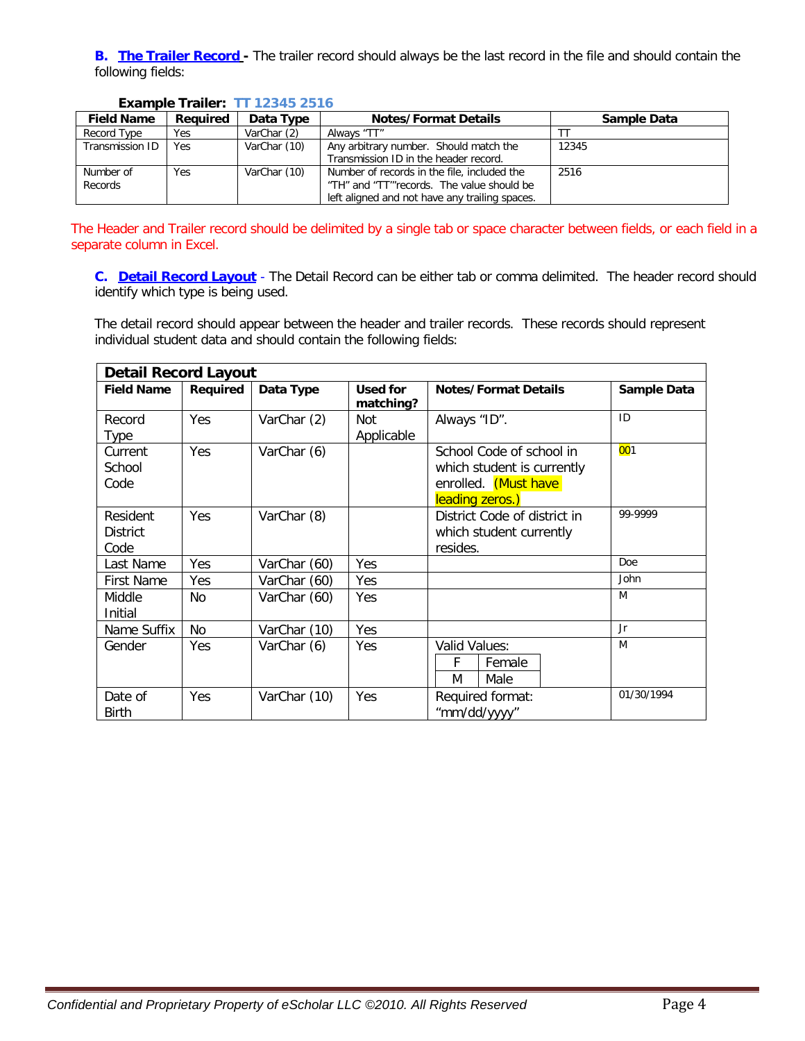**B. The Trailer Record -** The trailer record should always be the last record in the file and should contain the following fields:

| <b>Field Name</b>    | Required | Data Type    | <b>Notes/Format Details</b>                                                                                                                 | Sample Data |
|----------------------|----------|--------------|---------------------------------------------------------------------------------------------------------------------------------------------|-------------|
| Record Type          | Yes      | VarChar (2)  | Always "TT"                                                                                                                                 |             |
| Transmission ID      | Yes      | VarChar (10) | Any arbitrary number. Should match the<br>Transmission ID in the header record.                                                             | 12345       |
| Number of<br>Records | Yes      | VarChar (10) | Number of records in the file, included the<br>"TH" and "TT'"records. The value should be<br>left aligned and not have any trailing spaces. | 2516        |

#### **Example Trailer: TT 12345 2516**

The Header and Trailer record should be delimited by a single tab or space character between fields, or each field in a separate column in Excel.

**C. Detail Record Layout** - The Detail Record can be either tab or comma delimited. The header record should identify which type is being used.

The detail record should appear between the header and trailer records. These records should represent individual student data and should contain the following fields:

| <b>Detail Record Layout</b>                                |                                                                                                      |              |                                                                                |                                           |             |
|------------------------------------------------------------|------------------------------------------------------------------------------------------------------|--------------|--------------------------------------------------------------------------------|-------------------------------------------|-------------|
| <b>Field Name</b>                                          | Required                                                                                             | Data Type    | Used for<br>matching?                                                          | <b>Notes/Format Details</b>               | Sample Data |
| Record<br>Type                                             | Yes                                                                                                  | VarChar (2)  | Not<br>Applicable                                                              | Always "ID".                              | ID          |
| Current<br>School<br>Code                                  | VarChar (6)<br>Yes<br>School Code of school in<br>which student is currently<br>enrolled. (Must have |              | leading zeros.)                                                                | 001                                       |             |
| Resident<br>VarChar (8)<br>Yes.<br><b>District</b><br>Code |                                                                                                      |              | 99-9999<br>District Code of district in<br>which student currently<br>resides. |                                           |             |
| Last Name                                                  | Yes                                                                                                  | VarChar (60) | Yes                                                                            |                                           | Doe         |
| <b>First Name</b>                                          | Yes                                                                                                  | VarChar (60) | Yes                                                                            |                                           | John        |
| Middle<br>Initial                                          | No.                                                                                                  | VarChar (60) | Yes                                                                            |                                           | M           |
| Name Suffix                                                | No                                                                                                   | VarChar (10) | Yes                                                                            |                                           | Jr          |
| Gender                                                     | Yes                                                                                                  | VarChar (6)  | Yes                                                                            | Valid Values:<br>F<br>Female<br>M<br>Male | M           |
| Date of<br><b>Birth</b>                                    | Yes                                                                                                  | VarChar (10) | Yes                                                                            | Required format:<br>"mm/dd/yyyy"          | 01/30/1994  |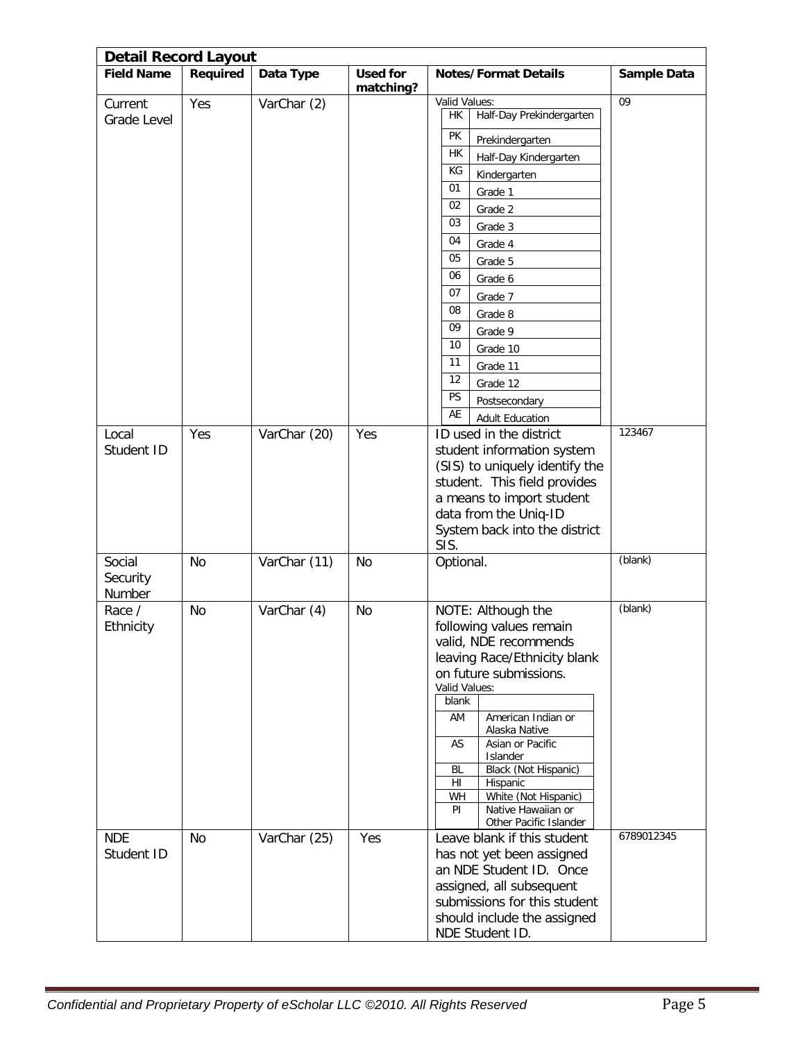| <b>Detail Record Layout</b>  |          |              |                 |                                                                                                                                                                                                                                                                                                                                                                                   |                 |
|------------------------------|----------|--------------|-----------------|-----------------------------------------------------------------------------------------------------------------------------------------------------------------------------------------------------------------------------------------------------------------------------------------------------------------------------------------------------------------------------------|-----------------|
| <b>Field Name</b>            | Required | Data Type    | <b>Used for</b> | <b>Notes/Format Details</b>                                                                                                                                                                                                                                                                                                                                                       | Sample Data     |
| Current<br>Grade Level       | Yes      | VarChar (2)  | matching?       | Valid Values:<br>Half-Day Prekindergarten<br>НK<br>PK<br>Prekindergarten<br>HK<br>Half-Day Kindergarten<br>KG<br>Kindergarten<br>01<br>Grade 1<br>02<br>Grade 2<br>03<br>Grade 3<br>04<br>Grade 4<br>05<br>Grade 5<br>06<br>Grade 6<br>07<br>Grade 7<br>08<br>Grade 8<br>09<br>Grade 9<br>10<br>Grade 10<br>11<br>Grade 11                                                        | $\overline{09}$ |
|                              |          |              |                 | 12<br>Grade 12<br><b>PS</b><br>Postsecondary<br>AE<br><b>Adult Education</b>                                                                                                                                                                                                                                                                                                      | 123467          |
| Local<br>Student ID          | Yes      | VarChar (20) | Yes             | ID used in the district<br>student information system<br>(SIS) to uniquely identify the<br>student. This field provides<br>a means to import student<br>data from the Uniq-ID<br>System back into the district<br>SIS.                                                                                                                                                            |                 |
| Social<br>Security<br>Number | No       | VarChar (11) | No              | Optional.                                                                                                                                                                                                                                                                                                                                                                         | (blank)         |
| Race /<br>Ethnicity          | No       | VarChar (4)  | No              | NOTE: Although the<br>following values remain<br>valid, NDE recommends<br>leaving Race/Ethnicity blank<br>on future submissions.<br>Valid Values:<br>blank<br>AM<br>American Indian or<br>Alaska Native<br>Asian or Pacific<br>AS<br>Islander<br>Black (Not Hispanic)<br>BL<br>Hispanic<br>HI<br>White (Not Hispanic)<br>WH<br>Native Hawaiian or<br>PI<br>Other Pacific Islander | (blank)         |
| <b>NDE</b><br>Student ID     | No       | VarChar (25) | Yes             | Leave blank if this student<br>has not yet been assigned<br>an NDE Student ID. Once<br>assigned, all subsequent<br>submissions for this student<br>should include the assigned<br>NDE Student ID.                                                                                                                                                                                 | 6789012345      |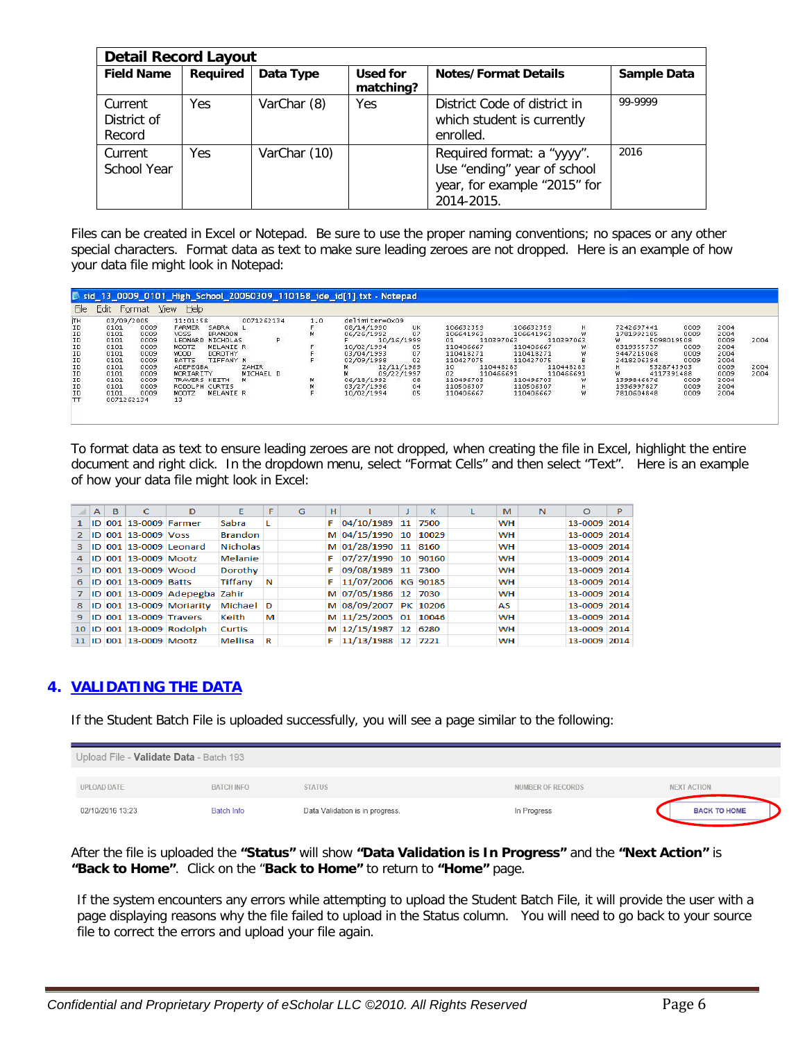|                                  | <b>Detail Record Layout</b> |              |                       |                                                                                                         |             |  |  |  |
|----------------------------------|-----------------------------|--------------|-----------------------|---------------------------------------------------------------------------------------------------------|-------------|--|--|--|
| <b>Field Name</b>                | Required                    | Data Type    | Used for<br>matching? | <b>Notes/Format Details</b>                                                                             | Sample Data |  |  |  |
| Current<br>District of<br>Record | <b>Yes</b>                  | VarChar (8)  | Yes                   | District Code of district in<br>which student is currently<br>enrolled.                                 | 99-9999     |  |  |  |
| Current<br>School Year           | Yes                         | VarChar (10) |                       | Required format: a "yyyy".<br>Use "ending" year of school<br>year, for example "2015" for<br>2014-2015. | 2016        |  |  |  |

Files can be created in Excel or Notepad. Be sure to use the proper naming conventions; no spaces or any other special characters. Format data as text to make sure leading zeroes are not dropped. Here is an example of how your data file might look in Notepad:

|              |            | Format | He<br><b>View</b>             |              |     |                |            |                 |           |           |                  |                   |      |      |
|--------------|------------|--------|-------------------------------|--------------|-----|----------------|------------|-----------------|-----------|-----------|------------------|-------------------|------|------|
|              | 03/09/2005 |        | 11:01:58                      | 0071262134   | 1.0 | delimiter=0x09 |            |                 |           |           |                  | <b>COMMERCIAL</b> |      |      |
| EBRERREE ERE | 0101       | 0009   | <b>FARMER</b><br>SABRA        |              |     | 08/14/1990     | UK         | 106632359       | 106632359 | H         | 7242697441       | 0009              | 2004 |      |
|              | 0101       | 0009   | <b>VOSS</b><br><b>BRANDON</b> |              | м   | 06/26/1992     | 07         | 106641963       | 106641963 |           | 1781992185       | 0009              | 2004 |      |
|              | 0101       | 0009   | <b>NICHOLAS</b><br>LEONARD    | P            |     |                | 10/16/1999 | 01              | 110397063 | 110397063 | 5098019508<br>W. |                   | 0009 | 2004 |
|              | 0101       | 0009   | MOOTZ<br>MELANIE R            |              |     | 10/02/1994     | 05         | 110406667       | 110406667 | w         | 8319355737       | 0009              | 2004 |      |
|              | 0101       | 0009   | <b>WOOD</b><br>DOROTHY        |              |     | 03/04/1993     | 07         | 110418271       | 110418271 |           | 9447215068       | 0009              | 2004 |      |
|              | 0101       | 0009   | BATTS<br>TIFFANY N            |              |     | 02/09/1998     |            | 110427075       | 110427075 |           | 2418206394       | 0009              | 2004 |      |
|              | 0101       | 0009   | ADEPEGBA                      | <b>ZAHIR</b> |     |                | 12/11/1989 | 10 <sup>1</sup> | 110448283 | 110448283 | 5328743903       |                   | 0009 | 2004 |
|              | 0101       | 0009   | MORIARITY                     | MICHAEL D    |     |                | 09/22/1997 | 02              | 110466691 | 110466691 | w<br>4117391488  |                   | 0009 | 2004 |
|              | 0101       | 0009   | TRAVERS KEITH                 | м            | м   | 06/18/1992     | 08         | 110496703       | 110496703 | w         | 1399846876       | 0009              | 2004 |      |
|              | 0101       | 0009   | RODOLPH CURTIS                |              |     | 03/27/1996     | 04         | 110506307       | 110506307 | н         | 1936997827       | 0009              | 2004 |      |
|              | 0101       | 0009   | <b>MOOTZ</b><br>MELANIE R     |              |     | 10/02/1994     | 05         | 110406667       | 110406667 | w         | 7810604848       | 0009              | 2004 |      |
|              | 0071262134 |        | 13                            |              |     |                |            |                 |           |           |                  |                   |      |      |

To format data as text to ensure leading zeroes are not dropped, when creating the file in Excel, highlight the entire document and right click. In the dropdown menu, select "Format Cells" and then select "Text". Here is an example of how your data file might look in Excel:

|    | $\mathbf{A}$ | B | c                       | D                             | Е               | F | G | н |                       | к | M         | N | O            | Þ |
|----|--------------|---|-------------------------|-------------------------------|-----------------|---|---|---|-----------------------|---|-----------|---|--------------|---|
|    |              |   | ID 001 13-0009 Farmer   |                               | Sabra           | L |   |   | 04/10/1989 11 7500    |   | <b>WH</b> |   | 13-0009 2014 |   |
|    |              |   | ID 001 13-0009 Voss     |                               | <b>Brandon</b>  |   |   |   | M 04/15/1990 10 10029 |   | <b>WH</b> |   | 13-0009 2014 |   |
| 3. |              |   |                         | ID 001 13-0009 Leonard        | <b>Nicholas</b> |   |   |   | M 01/28/1990 11 8160  |   | <b>WH</b> |   | 13-0009 2014 |   |
| 4  |              |   | ID 001 13-0009 Mootz    |                               | Melanie         |   |   |   | F 07/27/1990 10 90160 |   | <b>WH</b> |   | 13-0009 2014 |   |
| 5. |              |   | ID 001 13-0009 Wood     |                               | Dorothy         |   |   |   | F 09/08/1989 11 7300  |   | <b>WH</b> |   | 13-0009 2014 |   |
| 6. |              |   | ID 001 13-0009 Batts    |                               | Tiffany         | N |   |   | F 11/07/2006 KG 90185 |   | <b>WH</b> |   | 13-0009 2014 |   |
|    |              |   |                         | ID 001 13-0009 Adepegba Zahir |                 |   |   |   | M 07/05/1986 12 7030  |   | <b>WH</b> |   | 13-0009 2014 |   |
| 8. |              |   |                         | ID 001 13-0009 Moriarity      | Michael         | D |   |   | M 08/09/2007 PK 10206 |   | AS        |   | 13-0009 2014 |   |
| 9. |              |   | ID 001 13-0009 Travers  |                               | Keith           | м |   |   | M 11/25/2005 01 10046 |   | <b>WH</b> |   | 13-0009 2014 |   |
|    |              |   |                         | 10 ID 001 13-0009 Rodolph     | <b>Curtis</b>   |   |   |   | M 12/15/1987 12 6280  |   | <b>WH</b> |   | 13-0009 2014 |   |
|    |              |   | 11 ID 001 13-0009 Mootz |                               | Mellisa         | R |   |   | 11/13/1988 12 7221    |   | <b>WH</b> |   | 13-0009 2014 |   |

# **4. VALIDATING THE DATA**

If the Student Batch File is uploaded successfully, you will see a page similar to the following:

| Upload File - Validate Data - Batch 193 |                   |                                 |                   |                     |
|-----------------------------------------|-------------------|---------------------------------|-------------------|---------------------|
|                                         |                   |                                 |                   |                     |
| <b>UPLOAD DATE</b>                      | <b>BATCH INFO</b> | <b>STATUS</b>                   | NUMBER OF RECORDS | <b>NEXT ACTION</b>  |
| 02/10/2016 13:23                        | <b>Batch Info</b> | Data Validation is in progress. | In Progress       | <b>BACK TO HOME</b> |

After the file is uploaded the **"Status"** will show **"Data Validation is In Progress"** and the **"Next Action"** is **"Back to Home"**. Click on the "**Back to Home"** to return to **"Home"** page.

If the system encounters any errors while attempting to upload the Student Batch File, it will provide the user with a page displaying reasons why the file failed to upload in the Status column. You will need to go back to your source file to correct the errors and upload your file again.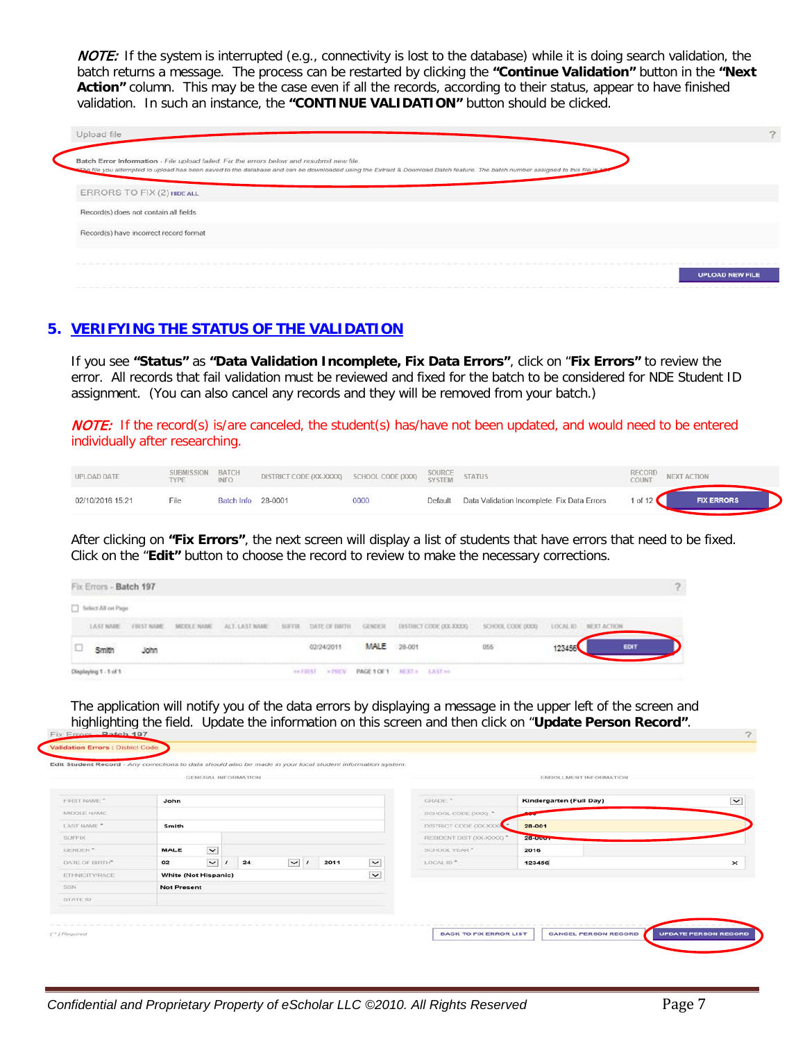NOTE:If the system is interrupted (e.g., connectivity is lost to the database) while it is doing search validation, the batch returns a message. The process can be restarted by clicking the **"Continue Validation"** button in the **"Next**  Action" column. This may be the case even if all the records, according to their status, appear to have finished validation. In such an instance, the **"CONTINUE VALIDATION"** button should be clicked.

| Upload file                                                                                                                                                                                                                                                                  |                                                                                                                 |
|------------------------------------------------------------------------------------------------------------------------------------------------------------------------------------------------------------------------------------------------------------------------------|-----------------------------------------------------------------------------------------------------------------|
| Batch Error Information - File upload failed. Fix the errors below and resubmit new file.<br>sthe file you attempted to upload has been saved to the database and can be downloaded using the Extract & Download Batch feature. The batch number assigned to this file is 10 |                                                                                                                 |
| <b>ERRORS TO FIX (2) HIDE ALL</b>                                                                                                                                                                                                                                            |                                                                                                                 |
| Record(s) does not contain all fields                                                                                                                                                                                                                                        |                                                                                                                 |
| Record(s) have incorrect record format                                                                                                                                                                                                                                       |                                                                                                                 |
|                                                                                                                                                                                                                                                                              | to the former and the control of the control of the control of the control of the second control of the control |
|                                                                                                                                                                                                                                                                              | <b>UPLOAD NEW FILE</b>                                                                                          |

# **5. VERIFYING THE STATUS OF THE VALIDATION**

If you see **"Status"** as **"Data Validation Incomplete, Fix Data Errors"**, click on "**Fix Errors"** to review the error. All records that fail validation must be reviewed and fixed for the batch to be considered for NDE Student ID assignment. (You can also cancel any records and they will be removed from your batch.)

NOTE: If the record(s) is/are canceled, the student(s) has/have not been updated, and would need to be entered individually after researching.

| <b>UPLOAD DATE</b> | SUBMISSION BATCH<br><b>TYPF</b> | <b>INFO</b>        | DISTRICT CODE (XX-XXXX) SCHOOL CODE (XXX) SOURCE STATUS |      |         |                                             | RECORD<br><b>COUNT</b> | <b>NEXT ACTION</b> |
|--------------------|---------------------------------|--------------------|---------------------------------------------------------|------|---------|---------------------------------------------|------------------------|--------------------|
| 02/10/2016 15:21   | File                            | Batch Info 28-0001 |                                                         | 0000 | Default | Data Validation Incomplete. Fix Data Errors | 1 of 12 $\blacksquare$ | <b>FIX ERRORS</b>  |

After clicking on **"Fix Errors"**, the next screen will display a list of students that have errors that need to be fixed. Click on the "**Edit"** button to choose the record to review to make the necessary corrections.

| 10 | <b>Smith</b>           | John |                                  |                                             |            | <b>MALE</b> 28-001 |                                                                                                                | 055               | 123456 | EDIT                 |  |
|----|------------------------|------|----------------------------------|---------------------------------------------|------------|--------------------|----------------------------------------------------------------------------------------------------------------|-------------------|--------|----------------------|--|
|    |                        |      |                                  |                                             | 02/24/2011 |                    | , a second-material condition of the Mark Mark Condition of the Mark Mark Association of the Mark Mark Mark Ma |                   |        |                      |  |
|    |                        |      | LAST NAME FIRST NAME MICCLE NAME | ALT. LAST NAME 52 STOL DATE OF BROWN GENDER |            |                    | DISTRICT CODE DOL30000                                                                                         | SCHOOL CODE (XXX) |        | LOCAL ID NEXT ACTION |  |
|    | Select All on Page     |      |                                  |                                             |            |                    |                                                                                                                |                   |        |                      |  |
|    | Fix Errors - Batch 197 |      |                                  |                                             |            |                    |                                                                                                                |                   |        |                      |  |

The application will notify you of the data errors by displaying a message in the upper left of the screen and highlighting the field. Update the information on this screen and then click on "**Update Person Record"**.

|                    |                             |                          | GENERAL INFORMATION |          |      |                          |                            | ENROLLMENT INFORMATION  |              |
|--------------------|-----------------------------|--------------------------|---------------------|----------|------|--------------------------|----------------------------|-------------------------|--------------|
| <b>EIRST NAME*</b> | John                        |                          |                     |          |      |                          | CRADE: *                   | Kindergarten (Full Day) | $\checkmark$ |
| MIDDLE NAME        |                             |                          |                     |          |      |                          | SCHOOL CODE (XXX) *        |                         |              |
| LAST NAME **       | Smith                       |                          |                     |          |      |                          | DISTRICT CODE (XX-XXXX)    | 28-001                  |              |
| <b>SUFFIX</b>      |                             |                          |                     |          |      |                          | RESIDENT DIST (XX-XXXXX) * | <b>28-000+</b>          |              |
| GENDER*            | MALE                        | $\overline{\phantom{a}}$ |                     |          |      |                          | SCHOOL YEAR."              | 2016                    |              |
| DATE OF BIRTH"     | 02                          | $\overline{\mathbf{v}}$  | 24                  | $\vee$ 1 | 2011 | $\vert \mathbf{v} \vert$ | LOCAL ID."                 | 123456                  | $\times$     |
| ETHNICITY/RACE     | <b>White (Not Hispanic)</b> |                          |                     |          |      | $\vee$                   |                            |                         |              |
| <b>SSN</b>         | <b>Not Present</b>          |                          |                     |          |      |                          |                            |                         |              |
| STATE ID           |                             |                          |                     |          |      |                          |                            |                         |              |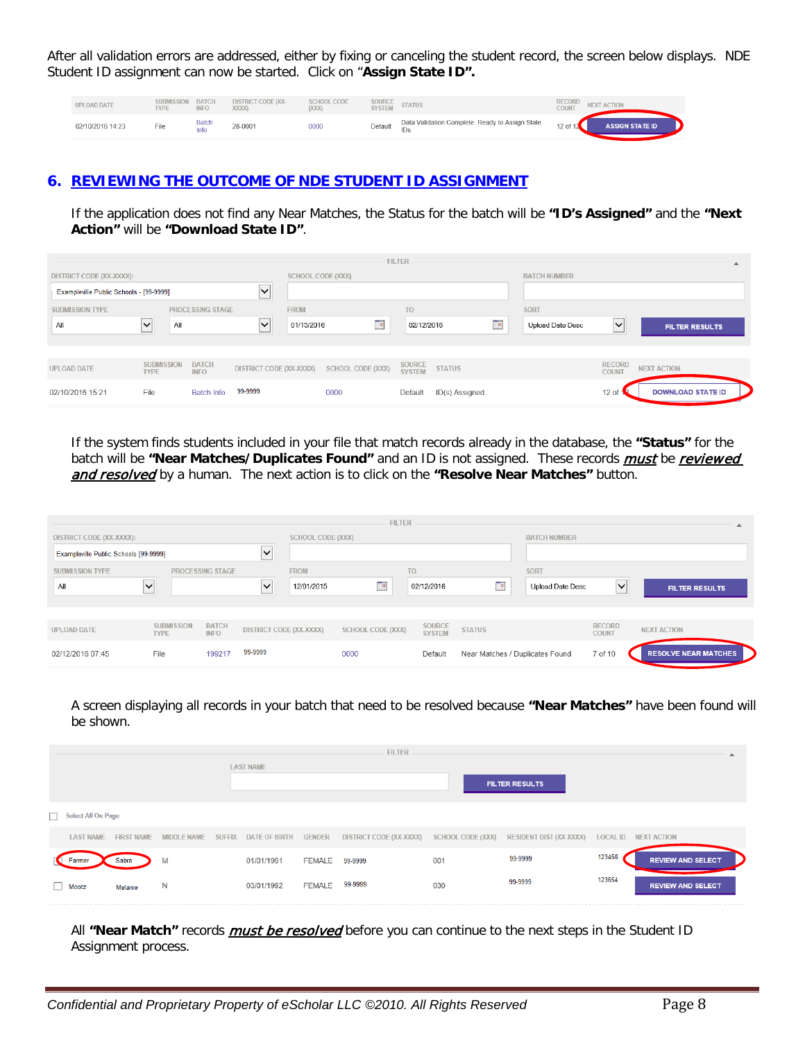After all validation errors are addressed, either by fixing or canceling the student record, the screen below displays. NDE Student ID assignment can now be started. Click on "**Assign State ID".**

| UPLOAD DATE      | SUBMISSION BATCH<br><b>TYPE</b> | <b>INFO</b>         | <b>DISTRICT CODE (XX-</b><br><b>XXXX1</b> | <b>SCHOOL CODE</b><br>[XXX] | SOURCE<br><b>SYSTEM</b> | <b>STATUS</b>                                   | <b>RECORD</b><br>COUNT | <b>NEXT ACTION</b>     |
|------------------|---------------------------------|---------------------|-------------------------------------------|-----------------------------|-------------------------|-------------------------------------------------|------------------------|------------------------|
| 02/10/2016 14:23 | File                            | <b>Batch</b><br>nfo | 28-0001                                   | 0000                        | Default                 | Data Validation Complete. Ready to Assign State | 12 of $12$             | <b>ASSIGN STATE ID</b> |

#### **6. REVIEWING THE OUTCOME OF NDE STUDENT ID ASSIGNMENT**

If the application does not find any Near Matches, the Status for the batch will be **"ID's Assigned"** and the **"Next Action"** will be **"Download State ID"**.

|                                         |                                  |                             |                         |                   |                   | <b>FILTER</b>           |                 |    |                         |                 | $\blacktriangle$         |
|-----------------------------------------|----------------------------------|-----------------------------|-------------------------|-------------------|-------------------|-------------------------|-----------------|----|-------------------------|-----------------|--------------------------|
| DISTRICT CODE (XX-XXXX):                |                                  |                             |                         | SCHOOL CODE (XXX) |                   |                         |                 |    | <b>BATCH NUMBER</b>     |                 |                          |
| Exampleville Public Schools - [99-9999] |                                  |                             | $\checkmark$            |                   |                   |                         |                 |    |                         |                 |                          |
| <b>SUBMISSION TYPE</b>                  |                                  | PROCESSING STAGE            |                         | <b>FROM</b>       |                   | <b>TO</b>               |                 |    | SORT                    |                 |                          |
| All                                     | $\checkmark$<br>All              |                             | $\checkmark$            | 01/13/2016        | $\mathbf{u}$      | 02/12/2016              |                 | Ta | <b>Upload Date Desc</b> | $\checkmark$    | <b>FILTER RESULTS</b>    |
|                                         |                                  |                             |                         |                   |                   |                         |                 |    |                         |                 |                          |
|                                         |                                  |                             |                         |                   |                   |                         |                 |    |                         |                 |                          |
| UPLOAD DATE                             | <b>SUBMISSION</b><br><b>TYPE</b> | <b>BATCH</b><br><b>INFO</b> | DISTRICT CODE (XX-XXXX) |                   | SCHOOL CODE (XXX) | SOURCE<br><b>SYSTEM</b> | <b>STATUS</b>   |    |                         | RECORD<br>COUNT | <b>NEXT ACTION</b>       |
| 02/10/2016 15:21                        | File                             | <b>Batch Info</b>           | 99-9999                 |                   | 0000              | Default                 | ID(s) Assigned. |    |                         | $12$ of         | <b>DOWNLOAD STATE ID</b> |

If the system finds students included in your file that match records already in the database, the **"Status"** for the batch will be "Near Matches/Duplicates Found" and an ID is not assigned. These records **must** be *reviewed* and resolved by a human. The next action is to click on the "Resolve Near Matches" button.

|                                       |                                  |                             |              |                          | <b>FILTER</b>     |                         |                                 |                     |                        |                             |
|---------------------------------------|----------------------------------|-----------------------------|--------------|--------------------------|-------------------|-------------------------|---------------------------------|---------------------|------------------------|-----------------------------|
| DISTRICT CODE (XX-XXXX):              |                                  |                             |              | <b>SCHOOL CODE (XXX)</b> |                   |                         |                                 | <b>BATCH NUMBER</b> |                        |                             |
| Exampleville Public Schools [99-9999] |                                  |                             | $\checkmark$ |                          |                   |                         |                                 |                     |                        |                             |
| <b>SUBMISSION TYPE</b>                |                                  | PROCESSING STAGE            |              | <b>FROM</b>              |                   | T <sub>O</sub>          |                                 | SORT                |                        |                             |
| All                                   | $\checkmark$                     |                             | $\checkmark$ | 12/01/2015               | Te.               | 02/12/2016              | TH.                             | Upload Date Desc    | M<br>___               | <b>FILTER RESULTS</b>       |
|                                       |                                  |                             |              |                          |                   |                         |                                 |                     |                        |                             |
| <b>UPLOAD DATE</b>                    | <b>SUBMISSION</b><br><b>TYPE</b> | <b>BATCH</b><br><b>INFO</b> |              | DISTRICT CODE (XX-XXXX)  | SCHOOL CODE (XXX) | SOURCE<br><b>SYSTEM</b> | <b>STATUS</b>                   |                     | <b>RECORD</b><br>COUNT | <b>NEXT ACTION</b>          |
| 02/12/2016 07:45                      | File                             | 199217                      | 99-9999      |                          | 0000              | Default                 | Near Matches / Duplicates Found |                     | 7 of 10                | <b>RESOLVE NEAR MATCHES</b> |

A screen displaying all records in your batch that need to be resolved because **"Near Matches"** have been found will be shown.

|                    |                |   |                  |                | <b>FILTER</b>                                                                                          |     |                                              |        |                          |
|--------------------|----------------|---|------------------|----------------|--------------------------------------------------------------------------------------------------------|-----|----------------------------------------------|--------|--------------------------|
|                    |                |   | <b>LAST NAME</b> |                |                                                                                                        |     | <b>FILTER RESULTS</b>                        |        |                          |
| Select All On Page |                |   |                  |                |                                                                                                        |     |                                              |        |                          |
|                    |                |   |                  |                | LAST NAME FIRST NAME MIDDLE NAME SUFFIX DATE OF BIRTH GENDER DISTRICT CODE (XX-XXXX) SCHOOL CODE (XXX) |     | RESIDENT DIST (XX-XXXX) LOCAL ID NEXT ACTION |        |                          |
| arme               | Sabra          | M | 01/01/1991       | FEMALE 99-9999 |                                                                                                        | 001 | 99-9999                                      | 123456 | <b>REVIEW AND SELECT</b> |
| Mootz              | <b>Melanie</b> | N | 03/01/1992       | FEMALE         | 99-9999                                                                                                | 030 | 99-9999                                      | 123654 | <b>REVIEW AND SELECT</b> |

All "Near Match" records *must be resolved* before you can continue to the next steps in the Student ID Assignment process.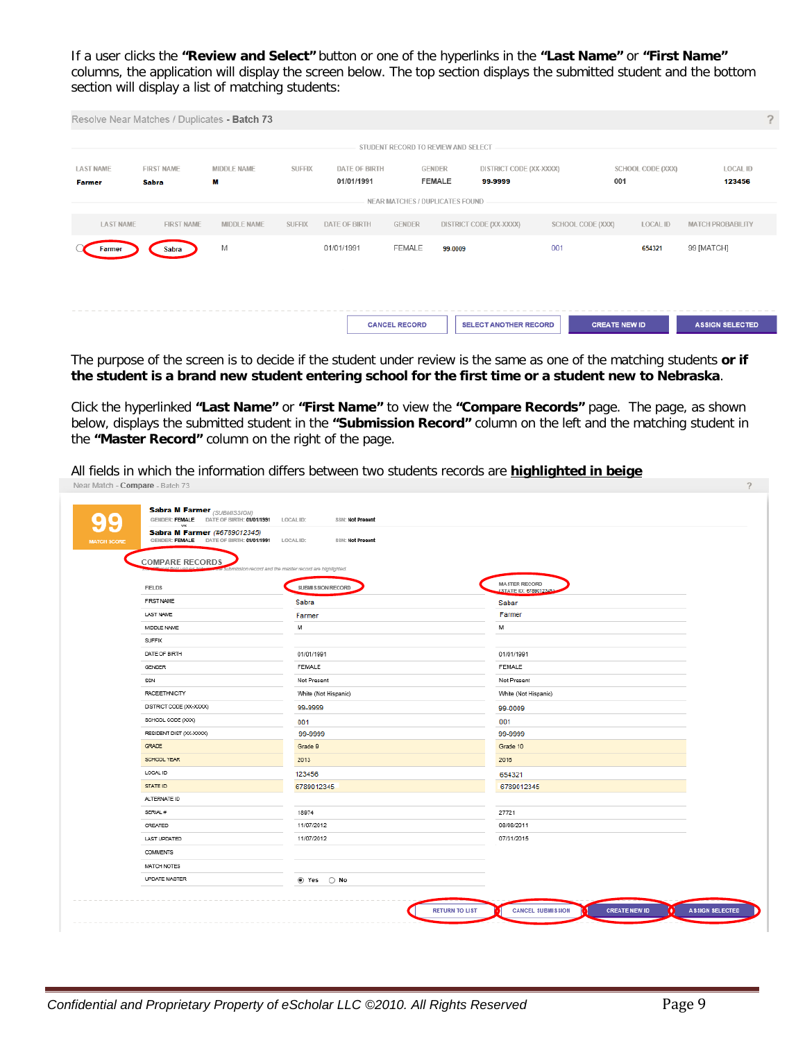If a user clicks the **"Review and Select"** button or one of the hyperlinks in the **"Last Name"** or **"First Name"** columns, the application will display the screen below. The top section displays the submitted student and the bottom section will display a list of matching students:

| ?                         |
|---------------------------|
|                           |
| <b>LOCAL ID</b><br>123456 |
|                           |
| <b>MATCH PROBABILITY</b>  |
| 99 [MATCH]                |
|                           |
|                           |
| <b>ASSIGN SELECTED</b>    |
|                           |

The purpose of the screen is to decide if the student under review is the same as one of the matching students **or if the student is a brand new student entering school for the first time or a student new to Nebraska**.

Click the hyperlinked **"Last Name"** or **"First Name"** to view the **"Compare Records"** page. The page, as shown below, displays the submitted student in the **"Submission Record"** column on the left and the matching student in the **"Master Record"** column on the right of the page.

All fields in which the information differs between two students records are **highlighted in beige**<br>Near Match - Compare - Batch 73

| vs.<br><b>Sabra M Farmer (#6789012345)</b><br>GENDER: FEMALE DATE OF BIRTH: 01/01/1991 LOCAL ID: | SSN: Not Present                                       |                                                       |
|--------------------------------------------------------------------------------------------------|--------------------------------------------------------|-------------------------------------------------------|
| <b>COMPARE RECORDS</b>                                                                           |                                                        |                                                       |
|                                                                                                  | imission record and the master record are highlighted. |                                                       |
| <b>FIELDS</b>                                                                                    | SUBMISSION RECORD                                      | <b>MASTER RECORD</b><br><b>ISTATE ID: 67890123451</b> |
| FIRST NAME                                                                                       | Sabra                                                  | Sabar                                                 |
| <b>LAST NAME</b>                                                                                 | Farmer                                                 | Farmer                                                |
| MIDDLE NAME                                                                                      | м                                                      | М                                                     |
| SUFFIX                                                                                           |                                                        |                                                       |
| DATE OF BIRTH                                                                                    | 01/01/1991                                             | 01/01/1991                                            |
| GENDER                                                                                           | FEMALE                                                 | FEMALE                                                |
| SSN                                                                                              | Not Present                                            | Not Present                                           |
| <b>RACE/ETHNICITY</b>                                                                            | White (Not Hispanic)                                   | White (Not Hispanic)                                  |
| DISTRICT CODE (XX-XXXX)                                                                          | 99-9999                                                | 99-0009                                               |
| SCHOOL CODE (XXX)                                                                                | 001                                                    | 001                                                   |
| RESIDENT DIST (XX-XXXX)                                                                          | 99-9999                                                | 99-9999                                               |
| GRADE                                                                                            | Grade 9                                                | Grade 10                                              |
| SCHOOL YEAR                                                                                      | 2013                                                   | 2016                                                  |
| LOCAL ID                                                                                         | 123456                                                 | 654321                                                |
| STATE ID                                                                                         | 6789012345                                             | 6789012345                                            |
| ALTERNATE ID                                                                                     |                                                        |                                                       |
| SERIAL #                                                                                         | 18974                                                  | 27721                                                 |
| CREATED                                                                                          | 11/07/2012                                             | 08/08/2011                                            |
| LAST UPDATED                                                                                     | 11/07/2012                                             | 07/31/2015                                            |
| COMMENTS                                                                                         |                                                        |                                                       |
| MATCH NOTES                                                                                      |                                                        |                                                       |
| UPDATE MASTER                                                                                    | ◉ Yes ○ No                                             |                                                       |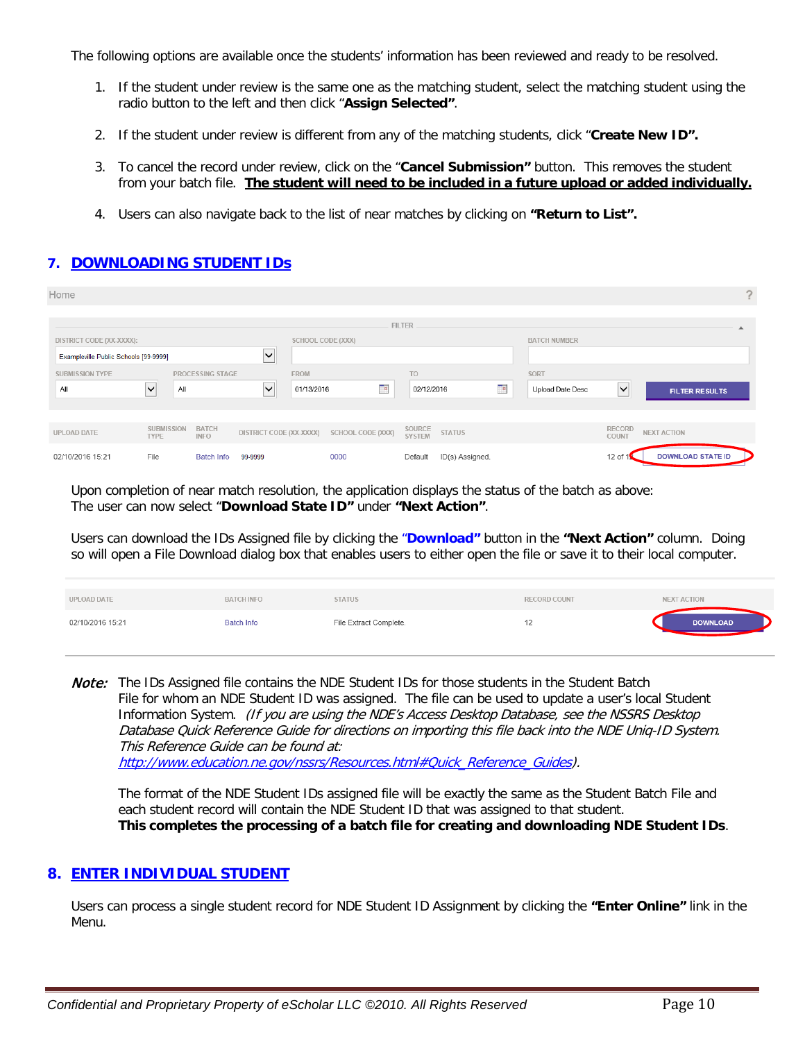The following options are available once the students' information has been reviewed and ready to be resolved.

- 1. If the student under review is the same one as the matching student, select the matching student using the radio button to the left and then click "**Assign Selected"**.
- 2. If the student under review is different from any of the matching students, click "**Create New ID".**
- 3. To cancel the record under review, click on the "**Cancel Submission"** button. This removes the student from your batch file. **The student will need to be included in a future upload or added individually.**
- 4. Users can also navigate back to the list of near matches by clicking on **"Return to List".**

# **7. DOWNLOADING STUDENT IDs**

| Home                                  |                                  |                             |                         |             |                   |                         |                 |   |                     |                 | $\sigma$                 |
|---------------------------------------|----------------------------------|-----------------------------|-------------------------|-------------|-------------------|-------------------------|-----------------|---|---------------------|-----------------|--------------------------|
|                                       |                                  |                             |                         |             |                   | <b>FILTER</b>           |                 |   |                     |                 |                          |
| DISTRICT CODE (XX-XXXX):              |                                  |                             |                         |             | SCHOOL CODE (XXX) |                         |                 |   | <b>BATCH NUMBER</b> |                 |                          |
| Exampleville Public Schools [99-9999] |                                  |                             | $\checkmark$<br>___     |             |                   |                         |                 |   |                     |                 |                          |
| <b>SUBMISSION TYPE</b>                |                                  | PROCESSING STAGE            |                         | <b>FROM</b> |                   | T <sub>O</sub>          |                 |   | SORT                |                 |                          |
| All                                   | $\vert \bm \vee \vert$<br>All    |                             | $\checkmark$            | 01/13/2016  | Te.               | 02/12/2016              |                 | E | Upload Date Desc    | ∣∨              | <b>FILTER RESULTS</b>    |
|                                       |                                  |                             |                         |             |                   |                         |                 |   |                     |                 |                          |
| UPLOAD DATE                           | <b>SUBMISSION</b><br><b>TYPE</b> | <b>BATCH</b><br><b>INFO</b> | DISTRICT CODE (XX-XXXX) |             | SCHOOL CODE (XXX) | SOURCE<br><b>SYSTEM</b> | <b>STATUS</b>   |   |                     | RECORD<br>COUNT | <b>NEXT ACTION</b>       |
| 02/10/2016 15:21                      | File                             | <b>Batch Info</b>           | 99-9999                 |             | 0000              | Default                 | ID(s) Assigned. |   |                     | $12$ of         | <b>DOWNLOAD STATE ID</b> |

Upon completion of near match resolution, the application displays the status of the batch as above: The user can now select "**Download State ID"** under **"Next Action"**.

Users can download the IDs Assigned file by clicking the "**Download"** button in the **"Next Action"** column. Doing so will open a File Download dialog box that enables users to either open the file or save it to their local computer.

| UPLOAD DATE      | <b>BATCH INFO</b> | <b>STATUS</b>          | RECORD COUNT | <b>NEXT ACTION</b> |
|------------------|-------------------|------------------------|--------------|--------------------|
| 02/10/2016 15:21 | <b>Batch Info</b> | File Extract Complete. |              | <b>DOWNLOAD</b>    |

**Note:** The IDs Assigned file contains the NDE Student IDs for those students in the Student Batch File for whom an NDE Student ID was assigned. The file can be used to update a user's local Student Information System. (If you are using the NDE's Access Desktop Database, see the NSSRS Desktop Database Quick Reference Guide for directions on importing this file back into the NDE Uniq-ID System. This Reference Guide can be found at: [http://www.education.ne.gov/nssrs/Resources.html#Quick\\_Reference\\_Guides\)](http://www.education.ne.gov/nssrs/Resources.html%23Quick_Reference_Guides).

The format of the NDE Student IDs assigned file will be exactly the same as the Student Batch File and each student record will contain the NDE Student ID that was assigned to that student. **This completes the processing of a batch file for creating and downloading NDE Student IDs**.

## **8. ENTER INDIVIDUAL STUDENT**

Users can process a single student record for NDE Student ID Assignment by clicking the **"Enter Online"** link in the Menu.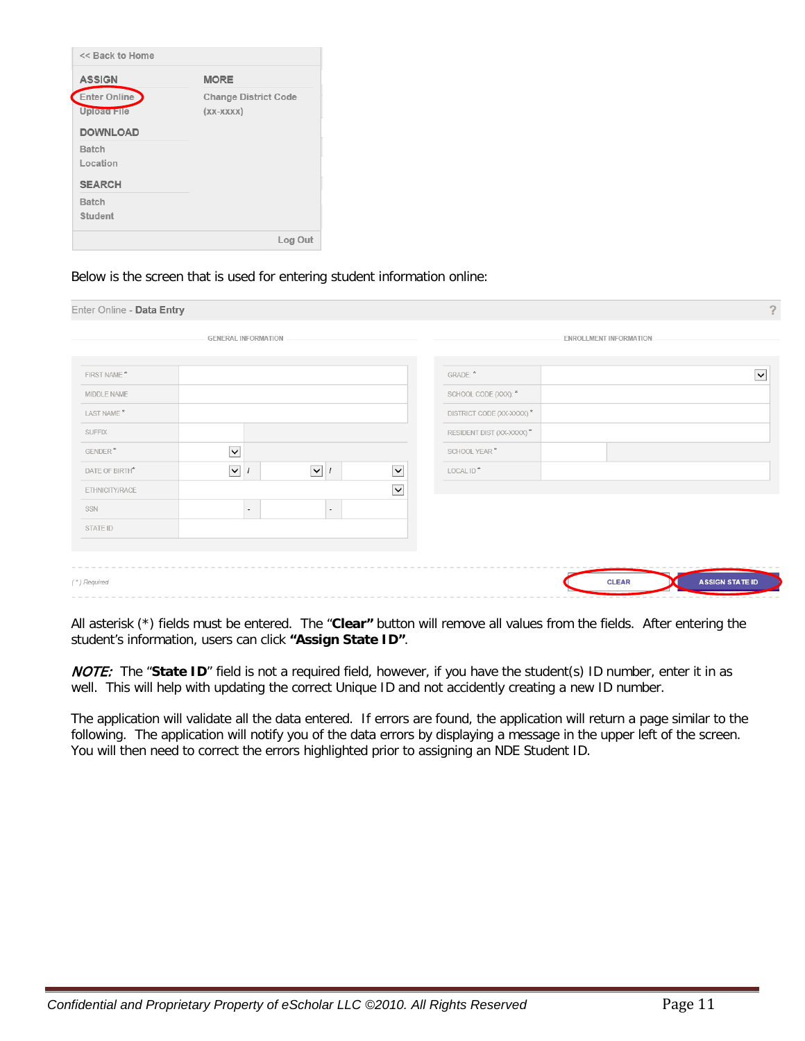| << Back to Home                                |                                            |
|------------------------------------------------|--------------------------------------------|
| <b>ASSIGN</b>                                  | <b>MORE</b>                                |
| Enter Online<br>Upload File<br><b>DOWNLOAD</b> | <b>Change District Code</b><br>$(XX-XXXX)$ |
| Batch<br>Location<br><b>SEARCH</b>             |                                            |
| Batch<br>Student                               |                                            |
|                                                | Log Out                                    |

Below is the screen that is used for entering student information online:

| Enter Online - Data Entry |                                        |                |                          |                          |                               |                        | $\tilde{?}$  |
|---------------------------|----------------------------------------|----------------|--------------------------|--------------------------|-------------------------------|------------------------|--------------|
|                           | <b>GENERAL INFORMATION</b>             |                |                          |                          | <b>ENROLLMENT INFORMATION</b> |                        |              |
|                           |                                        |                |                          |                          |                               |                        |              |
| FIRST NAME <sup>*</sup>   |                                        |                |                          | GRADE: *                 |                               |                        | $\checkmark$ |
| MIDDLE NAME               |                                        |                |                          | SCHOOL CODE (XXX): *     |                               |                        |              |
| LAST NAME*                |                                        |                |                          | DISTRICT CODE (XX-XXXX)* |                               |                        |              |
| <b>SUFFIX</b>             |                                        |                |                          | RESIDENT DIST (XX-XXXX)* |                               |                        |              |
| GENDER*                   | $\overline{\mathsf{v}}$                |                |                          | SCHOOL YEAR*             |                               |                        |              |
| DATE OF BIRTH*            | $\blacktriangledown$<br>$\overline{1}$ | $\sqrt{1}$     | $\blacktriangledown$     | LOCAL ID <sup>*</sup>    |                               |                        |              |
| ETHNICITY/RACE            |                                        |                | $\vert \mathbf{v} \vert$ |                          |                               |                        |              |
| SSN                       | $\blacksquare$                         | $\blacksquare$ |                          |                          |                               |                        |              |
| STATE ID                  |                                        |                |                          |                          |                               |                        |              |
|                           |                                        |                |                          |                          |                               |                        |              |
|                           |                                        |                |                          |                          |                               |                        |              |
| (*) Required              |                                        |                |                          |                          | <b>CLEAR</b>                  | <b>ASSIGN STATE ID</b> |              |
|                           |                                        |                |                          |                          |                               |                        |              |

All asterisk (\*) fields must be entered. The "**Clear"** button will remove all values from the fields. After entering the student's information, users can click **"Assign State ID"**.

NOTE: The "**State ID**" field is not a required field, however, if you have the student(s) ID number, enter it in as well. This will help with updating the correct Unique ID and not accidently creating a new ID number.

The application will validate all the data entered. If errors are found, the application will return a page similar to the following. The application will notify you of the data errors by displaying a message in the upper left of the screen. You will then need to correct the errors highlighted prior to assigning an NDE Student ID.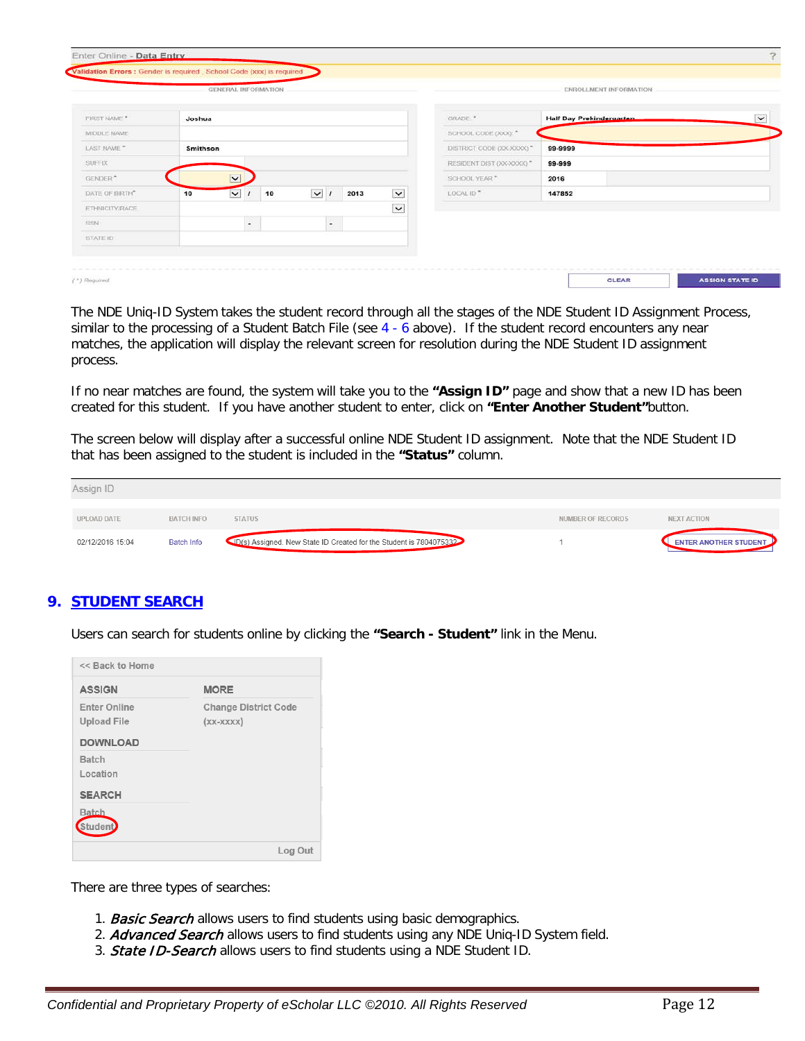|                       |          | <b>GENERAL INFORMATION</b>    |                          |      |              |                           |                          | <b>ENROLLMENT INFORMATION</b> |             |
|-----------------------|----------|-------------------------------|--------------------------|------|--------------|---------------------------|--------------------------|-------------------------------|-------------|
| FIRST NAME *          | Joshua   |                               |                          |      |              | GRADE: *                  | Half Day Prekindergarten |                               | $\check{ }$ |
| MIDDLE NAME           |          |                               |                          |      |              | SCHOOL CODE (XXX): "      |                          |                               |             |
| LAST NAME **          | Smithson |                               |                          |      |              | DISTRICT CODE (XX-XXXX) * | 99-9999                  |                               |             |
| <b>SUFFIX</b>         |          |                               |                          |      |              | RESIDENT DIST (XX-XXXX) * | 99-999                   |                               |             |
| GENDER <sup>4</sup>   |          | $\vert \vee \vert$            |                          |      |              | SCHOOL YEAR*              | 2016                     |                               |             |
| DATE OF BIRTH®        | 10       | $\overline{\mathbf{v}}$<br>10 | $\checkmark$             | 2013 | $\checkmark$ | LOCAL ID *                | 147852                   |                               |             |
| <b>ETHNICITY/RACE</b> |          |                               |                          |      | $\checkmark$ |                           |                          |                               |             |
| <b>SSN</b>            |          | $\bullet$                     | $\overline{\phantom{a}}$ |      |              |                           |                          |                               |             |
| STATE ID              |          |                               |                          |      |              |                           |                          |                               |             |

The NDE Uniq-ID System takes the student record through all the stages of the NDE Student ID Assignment Process, similar to the processing of a Student Batch File (see 4 - 6 above). If the student record encounters any near matches, the application will display the relevant screen for resolution during the NDE Student ID assignment process.

If no near matches are found, the system will take you to the **"Assign ID"** page and show that a new ID has been created for this student. If you have another student to enter, click on **"Enter Another Student"**button.

The screen below will display after a successful online NDE Student ID assignment. Note that the NDE Student ID that has been assigned to the student is included in the **"Status"** column.

| Assign ID          |                   |                                                                     |                   |                              |
|--------------------|-------------------|---------------------------------------------------------------------|-------------------|------------------------------|
| <b>UPLOAD DATE</b> | <b>BATCH INFO</b> | <b>STATUS</b>                                                       | NUMBER OF RECORDS | <b>NEXT ACTION</b>           |
| 02/12/2016 15:04   | <b>Batch Info</b> | (ID(s) Assigned. New State ID Created for the Student is 7804075332 |                   | <b>ENTER ANOTHER STUDENT</b> |

# **9. STUDENT SEARCH**

Users can search for students online by clicking the **"Search - Student"** link in the Menu.

| << Back to Home                                              |                                            |
|--------------------------------------------------------------|--------------------------------------------|
| <b>ASSIGN</b>                                                | <b>MORE</b>                                |
| <b>Enter Online</b><br><b>Upload File</b><br><b>DOWNLOAD</b> | <b>Change District Code</b><br>$(XX-XXXX)$ |
| Batch<br>Location                                            |                                            |
| <b>SEARCH</b><br>Batch<br><b>Student</b>                     |                                            |
|                                                              | Log Out                                    |

There are three types of searches:

- 1. **Basic Search** allows users to find students using basic demographics.
- 2. Advanced Search allows users to find students using any NDE Uniq-ID System field.
- 3. **State ID-Search** allows users to find students using a NDE Student ID.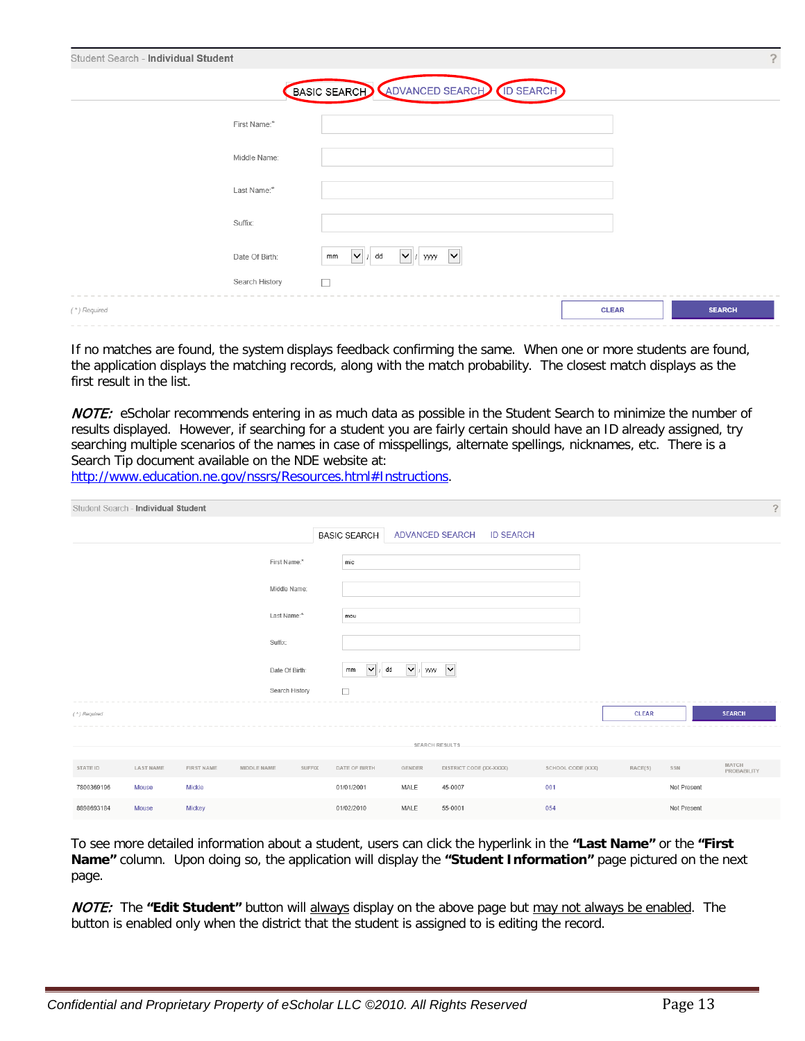| Student Search - Individual Student |                |                                                                                    |              |               | ? |
|-------------------------------------|----------------|------------------------------------------------------------------------------------|--------------|---------------|---|
|                                     |                | BASIC SEARCH ADVANCED SEARCH (ID SEARCH)                                           |              |               |   |
|                                     | First Name:*   |                                                                                    |              |               |   |
|                                     | Middle Name:   |                                                                                    |              |               |   |
|                                     | Last Name:*    |                                                                                    |              |               |   |
| Suffix:                             |                |                                                                                    |              |               |   |
|                                     | Date Of Birth: | $\vert \mathbf{v} \vert$ / dd<br>$\mathbf{v}$ www<br>$\overline{\mathsf{v}}$<br>mm |              |               |   |
|                                     | Search History | $\Box$                                                                             |              |               |   |
| (*) Required                        |                |                                                                                    | <b>CLEAR</b> | <b>SEARCH</b> |   |

If no matches are found, the system displays feedback confirming the same. When one or more students are found, the application displays the matching records, along with the match probability. The closest match displays as the first result in the list.

NOTE: eScholar recommends entering in as much data as possible in the Student Search to minimize the number of results displayed. However, if searching for a student you are fairly certain should have an ID already assigned, try searching multiple scenarios of the names in case of misspellings, alternate spellings, nicknames, etc. There is a Search Tip document available on the NDE website at:

[http://www.education.ne.gov/nssrs/Resources.html#Instructions.](http://www.education.ne.gov/nssrs/Resources.html%23Instructions)

| Student Search - Individual Student |           |            |                |        |                                  |                                                 |                                     |                   |              |             | -?                   |
|-------------------------------------|-----------|------------|----------------|--------|----------------------------------|-------------------------------------------------|-------------------------------------|-------------------|--------------|-------------|----------------------|
|                                     |           |            |                |        | <b>BASIC SEARCH</b>              |                                                 | ADVANCED SEARCH<br><b>ID SEARCH</b> |                   |              |             |                      |
|                                     |           |            | First Name:*   |        | $\mathsf{mic}$                   |                                                 |                                     |                   |              |             |                      |
|                                     |           |            | Middle Name:   |        |                                  |                                                 |                                     |                   |              |             |                      |
|                                     |           |            | Last Name:*    |        | mou                              |                                                 |                                     |                   |              |             |                      |
|                                     |           |            | Suffix:        |        |                                  |                                                 |                                     |                   |              |             |                      |
|                                     |           |            | Date Of Birth: |        | $\blacktriangleright$ / dd<br>mm | $\blacktriangledown$ / www $\blacktriangledown$ |                                     |                   |              |             |                      |
|                                     |           |            | Search History |        | $\Box$                           |                                                 |                                     |                   |              |             |                      |
| (*) Required                        |           |            |                |        |                                  |                                                 |                                     |                   | <b>CLEAR</b> |             | <b>SEARCH</b>        |
|                                     |           |            |                |        |                                  |                                                 | <b>SEARCH RESULTS</b>               |                   |              |             |                      |
| STATE ID                            | LAST NAME | FIRST NAME | MIDDLE NAME    | SUFFIX | DATE OF BIRTH                    | GENDER                                          | DISTRICT CODE (XX-XXXX)             | SCHOOL CODE (XXX) | RACE(S)      | SSN         | MATCH<br>PROBABILITY |
| 7800369196                          | Mouse     | Mickie     |                |        | 01/01/2001                       | MALE                                            | 45-0007                             | 001               |              | Not Present |                      |
| 8898693184                          | Mouse     | Mickey     |                |        | 01/02/2010                       | MALE                                            | 55-0001                             | 054               |              | Not Present |                      |

To see more detailed information about a student, users can click the hyperlink in the **"Last Name"** or the **"First Name"** column. Upon doing so, the application will display the **"Student Information"** page pictured on the next page.

NOTE: The **"Edit Student"** button will always display on the above page but may not always be enabled. The button is enabled only when the district that the student is assigned to is editing the record.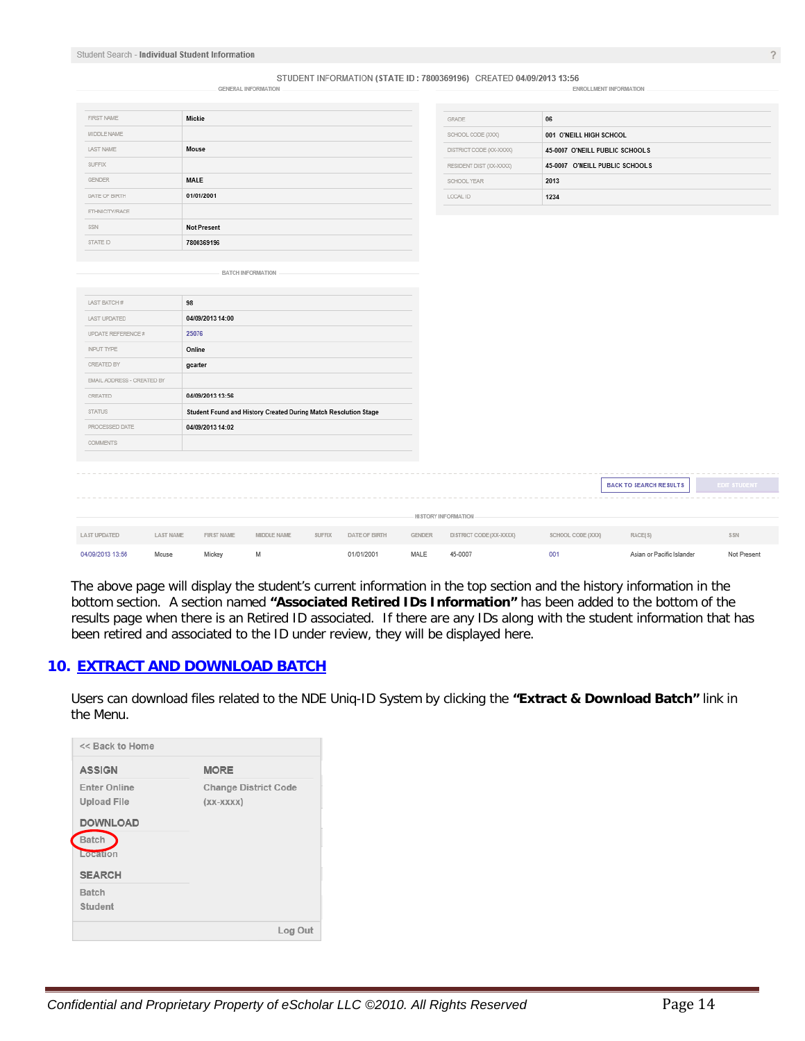#### STUDENT INFORMATION (STATE ID: 7800369196) CREATED 04/09/2013 13:56

| <b>FIRST NAME</b> | Mickie             |
|-------------------|--------------------|
| MIDDLE NAME       |                    |
| <b>LAST NAME</b>  | Mouse              |
| <b>SUFFIX</b>     |                    |
| <b>GENDER</b>     | MALE               |
| DATE OF BIRTH     | 01/01/2001         |
| ETHNICITY/RACE    |                    |
| SSN               | <b>Not Present</b> |
| STATE ID          | 7800369196         |

BATCH INFORMATION

**GENERAL INFORMATION** 

| GRADE                   | 06                             |
|-------------------------|--------------------------------|
| SCHOOL CODE (XXX)       | 001 O'NEILL HIGH SCHOOL        |
| DISTRICT CODE (XX-XXXX) | 45-0007 O'NEILL PUBLIC SCHOOLS |
| RESIDENT DIST (XX-XXXX) | 45-0007 O'NEILL PUBLIC SCHOOLS |
| SCHOOL YEAR             | 2013                           |
| LOCAL ID                | 1234                           |

ENROLLMENT INFORMATION

| LAST BATCH #               | 98        |                  |                                                                 |        |                      |               |                         |                   |                               |
|----------------------------|-----------|------------------|-----------------------------------------------------------------|--------|----------------------|---------------|-------------------------|-------------------|-------------------------------|
| <b>LAST UPDATED</b>        |           | 04/09/2013 14:00 |                                                                 |        |                      |               |                         |                   |                               |
| UPDATE REFERENCE #         |           | 25076            |                                                                 |        |                      |               |                         |                   |                               |
| INPUT TYPE                 |           | Online           |                                                                 |        |                      |               |                         |                   |                               |
| CREATED BY                 |           | gcarter          |                                                                 |        |                      |               |                         |                   |                               |
| EMAIL ADDRESS - CREATED BY |           |                  |                                                                 |        |                      |               |                         |                   |                               |
| CREATED                    |           | 04/09/2013 13:56 |                                                                 |        |                      |               |                         |                   |                               |
| <b>STATUS</b>              |           |                  | Student Found and History Created During Match Resolution Stage |        |                      |               |                         |                   |                               |
| PROCESSED DATE             |           | 04/09/2013 14:02 |                                                                 |        |                      |               |                         |                   |                               |
| <b>COMMENTS</b>            |           |                  |                                                                 |        |                      |               |                         |                   |                               |
|                            |           |                  |                                                                 |        |                      |               |                         |                   |                               |
|                            |           |                  |                                                                 |        |                      |               |                         |                   |                               |
|                            |           |                  |                                                                 |        |                      |               |                         |                   | <b>BACK TO SEARCH RESULTS</b> |
|                            |           |                  |                                                                 |        |                      |               |                         |                   |                               |
|                            |           |                  |                                                                 |        |                      |               | HI STORY INFORMATION    |                   |                               |
| <b>LAST UPDATED</b>        | LAST NAME | FIRST NAME       | MIDDLE NAME                                                     | SUFFIX | <b>DATE OF BIRTH</b> | <b>GENDER</b> | DISTRICT CODE (XX-XXXX) | SCHOOL CODE (XXX) | RACE(S)                       |
| 04/09/2013 13:56           | Mouse     | Mickey           | М                                                               |        | 01/01/2001           | MALE          | 45-0007                 | 001               | Asian or Pacific Islander     |

The above page will display the student's current information in the top section and the history information in the bottom section. A section named **"Associated Retired IDs Information"** has been added to the bottom of the results page when there is an Retired ID associated. If there are any IDs along with the student information that has been retired and associated to the ID under review, they will be displayed here.

#### **10. EXTRACT AND DOWNLOAD BATCH**

Users can download files related to the NDE Uniq-ID System by clicking the **"Extract & Download Batch"** link in the Menu.

| << Back to Home                                                                                    |                                            |
|----------------------------------------------------------------------------------------------------|--------------------------------------------|
| <b>ASSIGN</b>                                                                                      | <b>MORE</b>                                |
| <b>Enter Online</b><br><b>Upload File</b><br><b>DOWNLOAD</b><br>Batch<br>Location<br><b>SEARCH</b> | <b>Change District Code</b><br>$(XX-XXXX)$ |
| Batch<br>Student                                                                                   |                                            |
|                                                                                                    | Log Out                                    |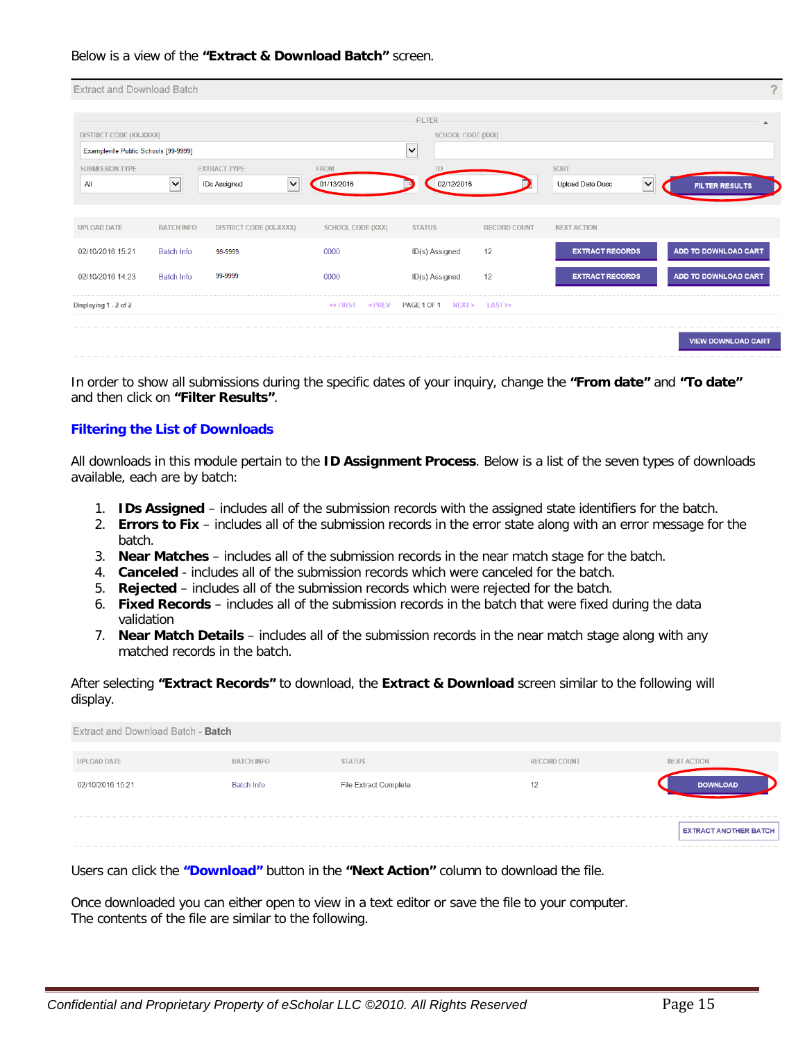#### Below is a view of the **"Extract & Download Batch"** screen.

| <b>Extract and Download Batch</b>     |                      |                              |                        |                            |                     |                                            | $\mathcal{P}$         |
|---------------------------------------|----------------------|------------------------------|------------------------|----------------------------|---------------------|--------------------------------------------|-----------------------|
|                                       |                      |                              |                        | <b>FILTER</b>              |                     |                                            | $\blacktriangle$      |
| DISTRICT CODE (XX-XXXX)               |                      |                              |                        | SCHOOL CODE (XXX)          |                     |                                            |                       |
| Exampleville Public Schools [99-9999] |                      |                              |                        | $\checkmark$               |                     |                                            |                       |
| <b>SUBMISSION TYPE</b>                |                      | <b>EXTRACT TYPE</b>          | <b>FROM</b>            | T <sub>O</sub>             |                     | SORT                                       |                       |
| All                                   | $\ddot{\phantom{1}}$ | $\checkmark$<br>IDs Assigned | 01/13/2016             | 02/12/2016                 |                     | $\vert\mathbf{v}\vert$<br>Upload Date Desc | <b>FILTER RESULTS</b> |
|                                       |                      |                              |                        |                            |                     |                                            |                       |
| UPLOAD DATE                           | <b>BATCH INFO</b>    | DISTRICT CODE (XX-XXXX)      | SCHOOL CODE (XXX)      | <b>STATUS</b>              | <b>RECORD COUNT</b> | <b>NEXT ACTION</b>                         |                       |
| 02/10/2016 15:21                      | <b>Batch Info</b>    | 99-9999                      | 0000                   | ID(s) Assigned.            | 12                  | <b>EXTRACT RECORDS</b>                     | ADD TO DOWNLOAD CART  |
| 02/10/2016 14:23                      | <b>Batch Info</b>    | 99-9999                      | 0000                   | ID(s) Assigned.            | 12                  | <b>EXTRACT RECORDS</b>                     | ADD TO DOWNLOAD CART  |
| Displaying 1 - 2 of 2                 |                      |                              | $<$ PREV<br>$<<$ FIRST | PAGE 1 OF 1 NEXT > LAST >> |                     |                                            |                       |
|                                       |                      |                              |                        |                            |                     |                                            | VIEW DOWNLOAD CART    |

In order to show all submissions during the specific dates of your inquiry, change the **"From date"** and **"To date"** and then click on **"Filter Results"**.

#### **Filtering the List of Downloads**

All downloads in this module pertain to the **ID Assignment Process**. Below is a list of the seven types of downloads available, each are by batch:

- 1. **IDs Assigned** includes all of the submission records with the assigned state identifiers for the batch.
- 2. **Errors to Fix** includes all of the submission records in the error state along with an error message for the batch.
- 3. **Near Matches** includes all of the submission records in the near match stage for the batch.
- 4. **Canceled** includes all of the submission records which were canceled for the batch.
- 5. **Rejected** includes all of the submission records which were rejected for the batch.
- 6. **Fixed Records** includes all of the submission records in the batch that were fixed during the data validation
- 7. **Near Match Details** includes all of the submission records in the near match stage along with any matched records in the batch.

After selecting **"Extract Records"** to download, the **Extract & Download** screen similar to the following will display.

| Extract and Download Batch - Batch |                   |                        |                     |                              |
|------------------------------------|-------------------|------------------------|---------------------|------------------------------|
| UPLOAD DATE                        | <b>BATCH INFO</b> | <b>STATUS</b>          | <b>RECORD COUNT</b> | <b>NEXT ACTION</b>           |
| 02/10/2016 15:21                   | Batch Info        | File Extract Complete. | 12                  | <b>DOWNLOAD</b>              |
|                                    |                   |                        |                     |                              |
|                                    |                   |                        |                     | <b>EXTRACT ANOTHER BATCH</b> |
|                                    |                   |                        |                     |                              |

Users can click the **"Download"** button in the **"Next Action"** column to download the file.

Once downloaded you can either open to view in a text editor or save the file to your computer. The contents of the file are similar to the following.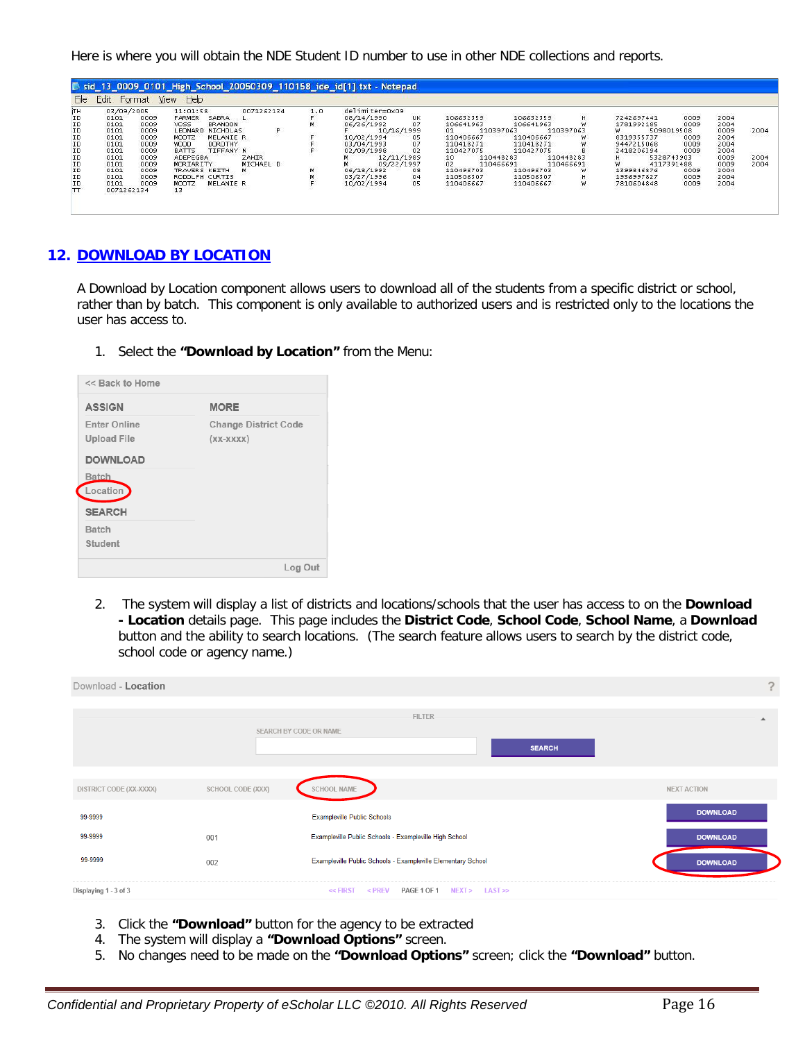Here is where you will obtain the NDE Student ID number to use in other NDE collections and reports.

| File                       | Edit       | Format | sid 13 0009 0101 High School 20050309 110158 ide id[1] txt - Notepad<br>$He$ <sub><math>p</math></sub><br><b>View</b> |     |                 |                                               |                          |                                     |           |                  |      |          |      |
|----------------------------|------------|--------|-----------------------------------------------------------------------------------------------------------------------|-----|-----------------|-----------------------------------------------|--------------------------|-------------------------------------|-----------|------------------|------|----------|------|
|                            |            |        |                                                                                                                       |     |                 |                                               |                          |                                     |           |                  |      |          |      |
| ìтн                        | 03/09/2005 |        | 11:01:58<br>0071262134                                                                                                | 1.0 | delimiter=0x09  |                                               |                          |                                     |           |                  |      |          |      |
| ΙD                         | 0101       | 0009   | <b>FARMER</b><br>SABRA                                                                                                |     | 08/14/1990      | <b>UK</b>                                     | 106632359                | 106632359                           | H         | 7242697441       | 0009 | 2004     |      |
|                            | 0101       | 0009   | <b>VOSS</b><br><b>BRANDON</b>                                                                                         | м   | 06/26/1992      | 07                                            | 106641963                | 106641963                           | w         | 1781992185       | 0009 | 2004     |      |
|                            | 0101       | 0009   | LEONARD<br>NICHOLAS                                                                                                   |     | 10/16/1999      |                                               | 01                       | 110397063<br>110397063              |           | 5098019508<br>W. |      | 0009     | 2004 |
|                            | 0101       | 0009   | MOOTZ<br>MELANIE R                                                                                                    |     | 10/02/1994      |                                               | 110406667                | 110406667                           | w.        | 8319355737       | 0009 | 2004     |      |
| ID<br>ID<br>ID<br>ID<br>ID | 0101       | 0009   | DOROTHY<br><b>WOOD</b>                                                                                                |     | 03/04/1993      | $\begin{array}{c} 05 \\ 07 \\ 02 \end{array}$ | 110418271                | 110418271                           | w         | 9447215068       | 0009 | 2004     |      |
|                            | 0101       | 0009   | BATTS<br>TIFFANY N                                                                                                    |     | 02/09/1998      |                                               | 110427075                | 110427075                           | в         | 2418206394       | 0009 | 2004     |      |
| ID<br>ID<br>ID<br>ID<br>ID | 0101       | 0009   | <b>ZAHIR</b><br>ADEPEGBA                                                                                              |     | 12/11/1989<br>М |                                               | 10 <sup>1</sup>          | 110448283<br>110448283              |           | 5328743903       |      | 0009     | 2004 |
|                            | 0101       | 0009   | MORIARITY<br>MICHAEL D                                                                                                |     | 09/22/1997      |                                               | 02                       | 110466691                           | 110466691 | w<br>4117391488  |      | 0009     | 2004 |
|                            | 0101       | 0009   | TRAVERS KEITH                                                                                                         | м   | 06/18/1992      | 08                                            | 110496703                | 110496703                           | w         | 1399846876       | 0009 | 2004     |      |
|                            | 0101       | 0009   | RODOLPH CURTIS                                                                                                        |     | 03/27/1996      | 04                                            | 110506307                | 110506307                           | H         | 1936997827       | 0009 | 2004     |      |
|                            | 0101       | 0009   | MELANIE R<br>MOOTZ                                                                                                    |     | 10/02/1994      | 05                                            | 110406667                | 110406667                           | W.        | 7810604848       | 0009 | 2004     |      |
| TT                         | 0071262134 |        | 13                                                                                                                    |     |                 | æ                                             | 나는 아이는 사람이 아이를 들어가자 아니다. | 19 19 19 19 19 19 19 19 19 19 19 19 |           |                  |      | 22332031 |      |
|                            |            |        | .                                                                                                                     |     |                 |                                               |                          |                                     |           |                  |      |          |      |

#### **12. DOWNLOAD BY LOCATION**

A Download by Location component allows users to download all of the students from a specific district or school, rather than by batch. This component is only available to authorized users and is restricted only to the locations the user has access to.

1. Select the **"Download by Location"** from the Menu:

| <b>ASSIGN</b>                                                | <b>MORE</b>                                |
|--------------------------------------------------------------|--------------------------------------------|
| <b>Enter Online</b><br><b>Upload File</b><br><b>DOWNLOAD</b> | <b>Change District Code</b><br>$(XX-XXXX)$ |
| Batch<br>Location <sup>1</sup>                               |                                            |
| <b>SEARCH</b>                                                |                                            |
| Batch<br>Student                                             |                                            |

2. The system will display a list of districts and locations/schools that the user has access to on the **Download - Location** details page. This page includes the **District Code**, **School Code**, **School Name**, a **Download** button and the ability to search locations. (The search feature allows users to search by the district code, school code or agency name.)

| Download - Location     |                   |                                                              | $\mathcal{P}$      |
|-------------------------|-------------------|--------------------------------------------------------------|--------------------|
|                         |                   | FILTER<br>SEARCH BY CODE OR NAME<br><b>SEARCH</b>            | ▲                  |
| DISTRICT CODE (XX-XXXX) | SCHOOL CODE (XXX) | SCHOOL NAME                                                  | <b>NEXT ACTION</b> |
| 99-9999                 |                   | <b>Exampleville Public Schools</b>                           | <b>DOWNLOAD</b>    |
| 99-9999                 | 001               | Exampleville Public Schools - Exampleville High School       | <b>DOWNLOAD</b>    |
| 99-9999                 | 002               | Exampleville Public Schools - Exampleville Elementary School | <b>DOWNLOAD</b>    |
| Displaying 1 - 3 of 3   |                   | PAGE 1 OF 1 NEXT > LAST >><br>$<<$ FIRST<br>$<$ PREV         |                    |

- 3. Click the **"Download"** button for the agency to be extracted
- 4. The system will display a **"Download Options"** screen.
- 5. No changes need to be made on the **"Download Options"** screen; click the **"Download"** button.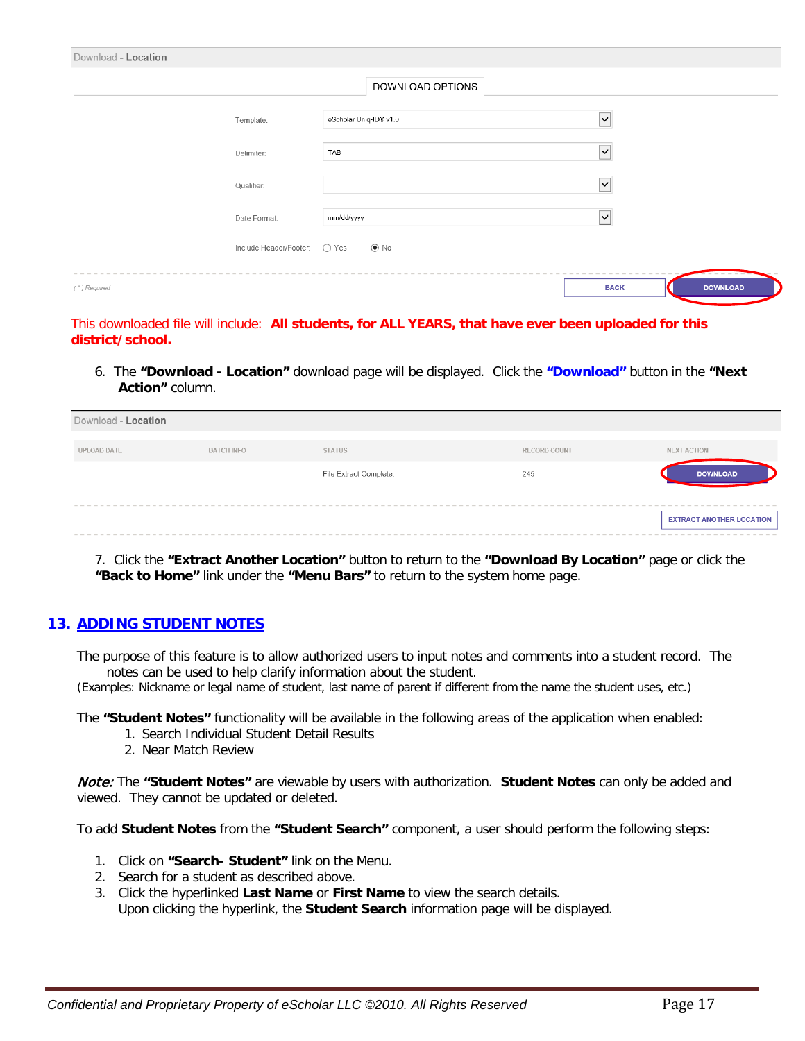| Download - Location |                              |                        |                         |                 |
|---------------------|------------------------------|------------------------|-------------------------|-----------------|
|                     |                              | DOWNLOAD OPTIONS       |                         |                 |
|                     | Template:                    | eScholar Uniq-ID® v1.0 | $\overline{\mathsf{v}}$ |                 |
|                     | Delimiter:                   | TAB                    | $\checkmark$            |                 |
|                     | Qualifier:                   |                        | $\overline{\mathsf{v}}$ |                 |
|                     | Date Format:                 | mm/dd/yyyy             | $\overline{\mathsf{v}}$ |                 |
|                     | Include Header/Footer: ○ Yes | $\odot$ No             |                         |                 |
| $(*)$ Required      |                              |                        | <b>BACK</b>             | <b>DOWNLOAD</b> |

This downloaded file will include: **All students, for ALL YEARS, that have ever been uploaded for this district/school.**

6. The **"Download - Location"** download page will be displayed. Click the **"Download"** button in the **"Next Action"** column.

| Download - Location |                   |                        |                     |                                 |
|---------------------|-------------------|------------------------|---------------------|---------------------------------|
| UPLOAD DATE         | <b>BATCH INFO</b> | <b>STATUS</b>          | <b>RECORD COUNT</b> | NEXT ACTION                     |
|                     |                   | File Extract Complete. | 245                 | <b>DOWNLOAD</b>                 |
|                     |                   |                        |                     |                                 |
|                     |                   |                        |                     | <b>EXTRACT ANOTHER LOCATION</b> |

7. Click the **"Extract Another Location"** button to return to the **"Download By Location"** page or click the **"Back to Home"** link under the **"Menu Bars"** to return to the system home page.

## **13. ADDING STUDENT NOTES**

The purpose of this feature is to allow authorized users to input notes and comments into a student record. The notes can be used to help clarify information about the student.

(Examples: Nickname or legal name of student, last name of parent if different from the name the student uses, etc.)

The **"Student Notes"** functionality will be available in the following areas of the application when enabled:

- 1. Search Individual Student Detail Results
- 2. Near Match Review

Note: The **"Student Notes"** are viewable by users with authorization. **Student Notes** can only be added and viewed. They cannot be updated or deleted.

To add **Student Notes** from the **"Student Search"** component, a user should perform the following steps:

- 1. Click on **"Search- Student"** link on the Menu.
- 2. Search for a student as described above.
- 3. Click the hyperlinked **Last Name** or **First Name** to view the search details. Upon clicking the hyperlink, the **Student Search** information page will be displayed.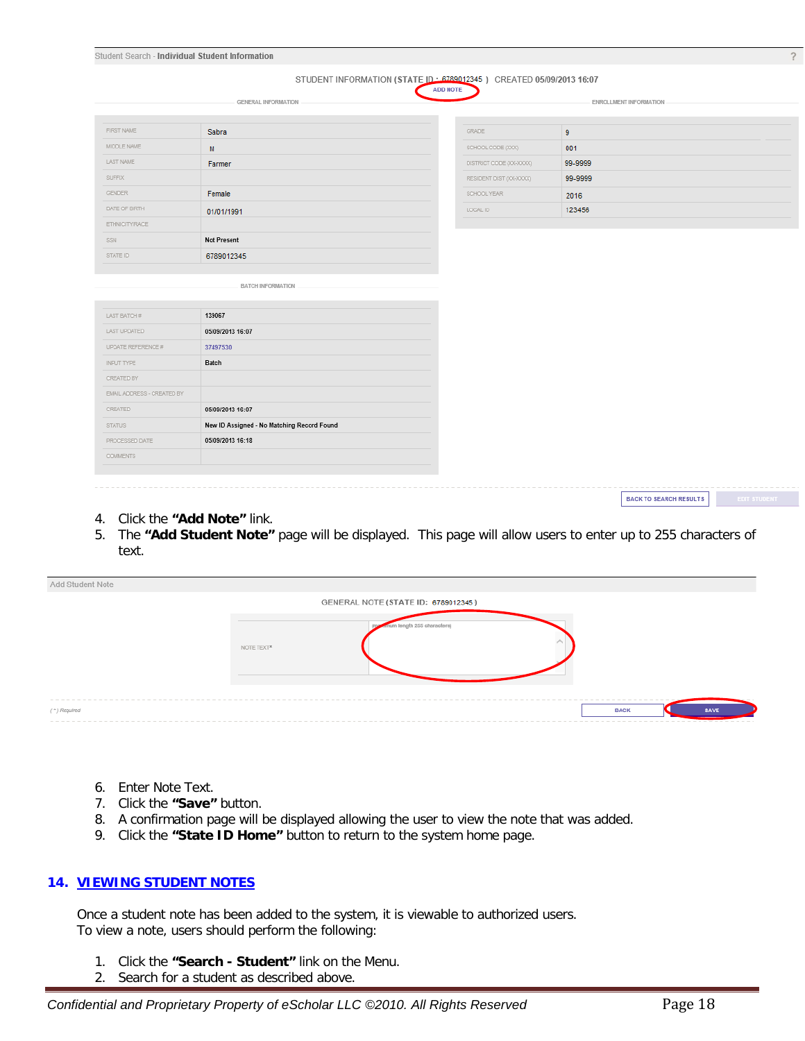|                                       | <b>GENERAL INFORMATION</b>                                     |                         | ENROLLMENT INFORMATION |  |
|---------------------------------------|----------------------------------------------------------------|-------------------------|------------------------|--|
| FIRST NAME                            | Sabra                                                          | GRADE                   | 9                      |  |
| MIDDLE NAME                           | M                                                              | SCHOOL CODE (XXX)       | 001                    |  |
| LAST NAME                             | Farmer                                                         | DISTRICT CODE (XX-XXXX) | 99-9999                |  |
| <b>SUFFIX</b>                         |                                                                | RESIDENT DIST (XX-XXXX) | 99-9999                |  |
| <b>GENDER</b>                         | Female                                                         | SCHOOL YEAR             | 2016                   |  |
| DATE OF BIRTH                         | 01/01/1991                                                     | LOCAL ID                | 123456                 |  |
| ETHNICITY/RACE                        |                                                                |                         |                        |  |
| SSN                                   | <b>Not Present</b>                                             |                         |                        |  |
| STATE ID                              | 6789012345                                                     |                         |                        |  |
|                                       | BATCH INFORMATION                                              |                         |                        |  |
|                                       |                                                                |                         |                        |  |
| LAST BATCH #                          | 139067                                                         |                         |                        |  |
| LAST UPDATED                          | 05/09/2013 16:07                                               |                         |                        |  |
| UPDATE REFERENCE #                    | 37497530                                                       |                         |                        |  |
| INPUT TYPE                            | Batch                                                          |                         |                        |  |
| CREATED BY                            |                                                                |                         |                        |  |
| EMAIL ADDRESS - CREATED BY<br>CREATED |                                                                |                         |                        |  |
| <b>STATUS</b>                         | 05/09/2013 16:07<br>New ID Assigned - No Matching Record Found |                         |                        |  |
| PROCESSED DATE                        | 05/09/2013 16:18                                               |                         |                        |  |

- 4. Click the **"Add Note"** link.
- 5. The **"Add Student Note"** page will be displayed. This page will allow users to enter up to 255 characters of text.

| Add Student Note |            |                                     |             |                               |
|------------------|------------|-------------------------------------|-------------|-------------------------------|
|                  |            | GENERAL NOTE (STATE ID: 6789012345) |             |                               |
|                  | NOTE TEXT* | mum length 255 characters)          |             |                               |
| (") Required     |            |                                     | <b>BACK</b> | <b>SAVE</b><br>. <del>.</del> |

- 6. Enter Note Text.
- 7. Click the **"Save"** button.
- 8. A confirmation page will be displayed allowing the user to view the note that was added.
- 9. Click the **"State ID Home"** button to return to the system home page.

#### **14. VIEWING STUDENT NOTES**

Once a student note has been added to the system, it is viewable to authorized users. To view a note, users should perform the following:

- 1. Click the **"Search - Student"** link on the Menu.
- 2. Search for a student as described above.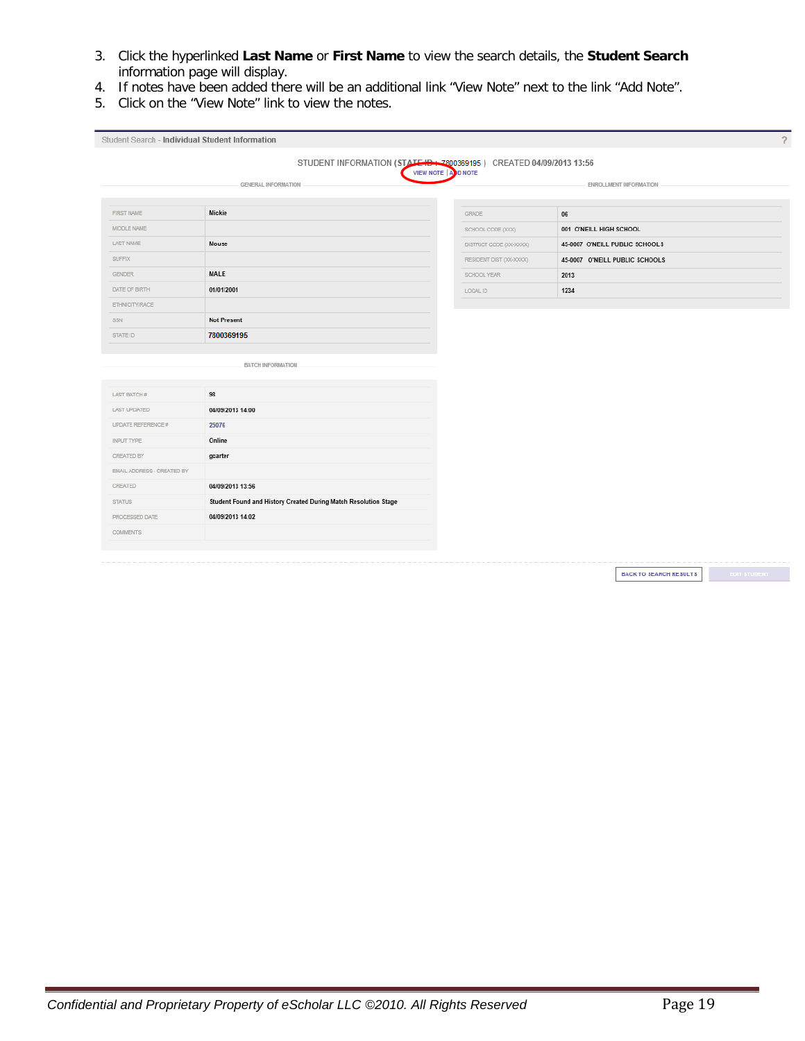- 3. Click the hyperlinked **Last Name** or **First Name** to view the search details, the **Student Search** information page will display.
- 4. If notes have been added there will be an additional link "View Note" next to the link "Add Note".
- 5. Click on the "View Note" link to view the notes.

|                            | STUDENT INFORMATION (STATE ID: 7800369195) CREATED 04/09/2013 13:56 |                         |                                |  |
|----------------------------|---------------------------------------------------------------------|-------------------------|--------------------------------|--|
|                            | <b>GENERAL INFORMATION</b>                                          | VIEW NOTE   A D NOTE    | ENROLLMENT INFORMATION         |  |
|                            |                                                                     |                         |                                |  |
| FIRST NAME                 | Mickie                                                              | GRADE                   | $06\,$                         |  |
| MIDDLE NAME                |                                                                     | SCHOOL CODE (XXX)       | 001 O'NEILL HIGH SCHOOL        |  |
| LAST NAME                  | Mouse                                                               | DISTRICT CODE (XX-XXXX) | 45-0007 O'NEILL PUBLIC SCHOOLS |  |
| <b>SUFFIX</b>              |                                                                     | RESIDENT DIST (XX-XXXX) | 45-0007 O'NEILL PUBLIC SCHOOLS |  |
| <b>GENDER</b>              | MALE                                                                | SCHOOL YEAR             | 2013                           |  |
| DATE OF BIRTH              | 01/01/2001                                                          | LOCAL ID                | 1234                           |  |
| ETHNICITY/RACE             |                                                                     |                         |                                |  |
| SSN                        | <b>Not Present</b>                                                  |                         |                                |  |
| STATE ID                   | 7800369195                                                          |                         |                                |  |
|                            |                                                                     |                         |                                |  |
|                            | BATCH INFORMATION                                                   |                         |                                |  |
|                            |                                                                     |                         |                                |  |
| LAST BATCH #               | 98                                                                  |                         |                                |  |
| <b>LAST UPDATED</b>        | 04/09/2013 14:00                                                    |                         |                                |  |
| UPDATE REFERENCE #         | 25076                                                               |                         |                                |  |
| INPUT TYPE                 | Online                                                              |                         |                                |  |
| CREATED BY                 | gcarter                                                             |                         |                                |  |
| EMAIL ADDRESS - CREATED BY |                                                                     |                         |                                |  |
| CREATED                    | 04/09/2013 13:56                                                    |                         |                                |  |
| <b>STATUS</b>              | Student Found and History Created During Match Resolution Stage     |                         |                                |  |
|                            | 04/09/2013 14:02                                                    |                         |                                |  |
| PROCESSED DATE             |                                                                     |                         |                                |  |